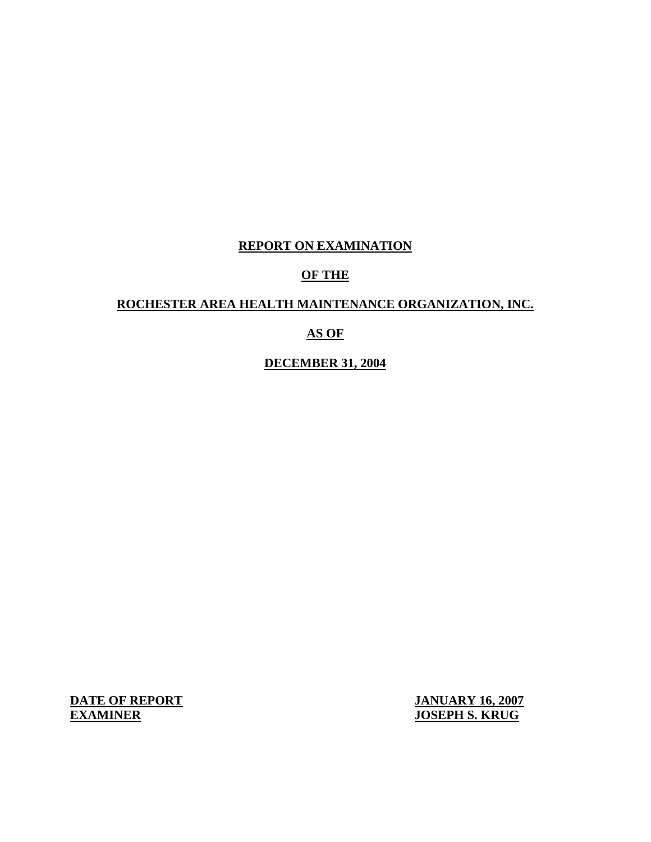# **REPORT ON EXAMINATION**

# **OF THE**

### **ROCHESTER AREA HEALTH MAINTENANCE ORGANIZATION, INC.**

# **AS OF**

**DECEMBER 31, 2004** 

**EXAMINER DATE OF REPORT JANUARY 16, 2007** 

**EXAMPLE S. KRUG**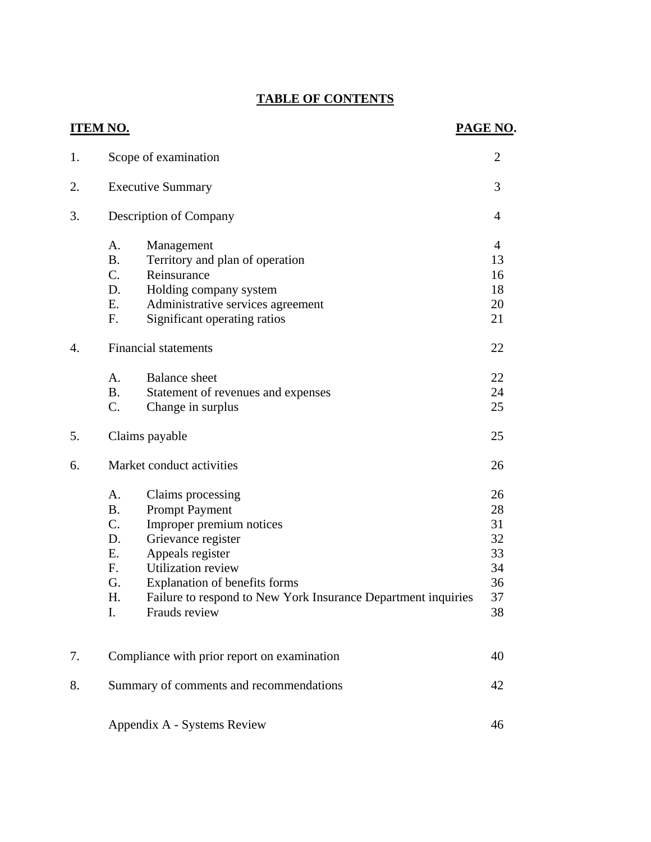# **TABLE OF CONTENTS**

| <b>ITEM NO.</b> |                                                                                                                                                                                                                                                                                                                                               | PAGE NO.                                           |
|-----------------|-----------------------------------------------------------------------------------------------------------------------------------------------------------------------------------------------------------------------------------------------------------------------------------------------------------------------------------------------|----------------------------------------------------|
| 1.              | Scope of examination                                                                                                                                                                                                                                                                                                                          | $\overline{2}$                                     |
| 2.              | <b>Executive Summary</b>                                                                                                                                                                                                                                                                                                                      | 3                                                  |
| 3.              | Description of Company                                                                                                                                                                                                                                                                                                                        | $\overline{4}$                                     |
|                 | A.<br>Management<br><b>B.</b><br>Territory and plan of operation<br>$C_{\cdot}$<br>Reinsurance<br>D.<br>Holding company system<br>E.<br>Administrative services agreement<br>Significant operating ratios<br>F.                                                                                                                               | $\overline{4}$<br>13<br>16<br>18<br>20<br>21       |
| 4.              | <b>Financial statements</b>                                                                                                                                                                                                                                                                                                                   | 22                                                 |
|                 | A.<br><b>Balance</b> sheet<br><b>B.</b><br>Statement of revenues and expenses<br>C.<br>Change in surplus                                                                                                                                                                                                                                      | 22<br>24<br>25                                     |
| 5.              | Claims payable                                                                                                                                                                                                                                                                                                                                | 25                                                 |
| 6.              | Market conduct activities                                                                                                                                                                                                                                                                                                                     | 26                                                 |
|                 | A.<br>Claims processing<br><b>B.</b><br><b>Prompt Payment</b><br>$C_{\cdot}$<br>Improper premium notices<br>Grievance register<br>D.<br>Appeals register<br>Ε.<br><b>Utilization review</b><br>F.<br>G.<br><b>Explanation of benefits forms</b><br>Failure to respond to New York Insurance Department inquiries<br>H.<br>Frauds review<br>I. | 26<br>28<br>31<br>32<br>33<br>34<br>36<br>37<br>38 |
| 7.              | Compliance with prior report on examination                                                                                                                                                                                                                                                                                                   | 40                                                 |
| 8.              | Summary of comments and recommendations                                                                                                                                                                                                                                                                                                       | 42                                                 |
|                 | Appendix A - Systems Review                                                                                                                                                                                                                                                                                                                   | 46                                                 |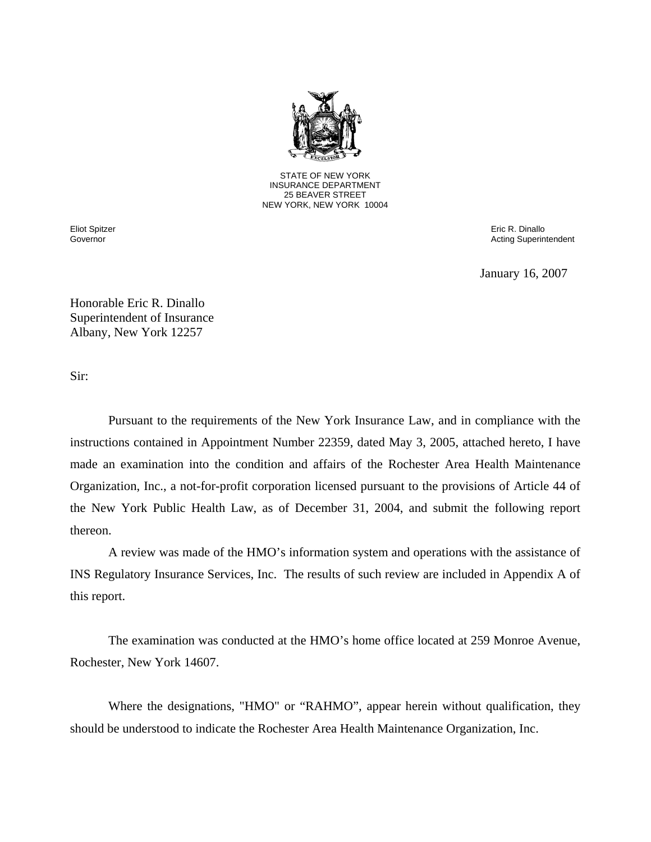

STATE OF NEW YORK INSURANCE DEPARTMENT 25 BEAVER STREET NEW YORK, NEW YORK 10004

 Governor Eliot Spitzer  Eric R. Dinallo Acting Superintendent

January 16, 2007

Honorable Eric R. Dinallo Superintendent of Insurance Albany, New York 12257

Sir:

Pursuant to the requirements of the New York Insurance Law, and in compliance with the instructions contained in Appointment Number 22359, dated May 3, 2005, attached hereto, I have made an examination into the condition and affairs of the Rochester Area Health Maintenance Organization, Inc., a not-for-profit corporation licensed pursuant to the provisions of Article 44 of the New York Public Health Law, as of December 31, 2004, and submit the following report thereon.

A review was made of the HMO's information system and operations with the assistance of INS Regulatory Insurance Services, Inc. The results of such review are included in Appendix A of this report.

The examination was conducted at the HMO's home office located at 259 Monroe Avenue, Rochester, New York 14607.

Where the designations, "HMO" or "RAHMO", appear herein without qualification, they should be understood to indicate the Rochester Area Health Maintenance Organization, Inc.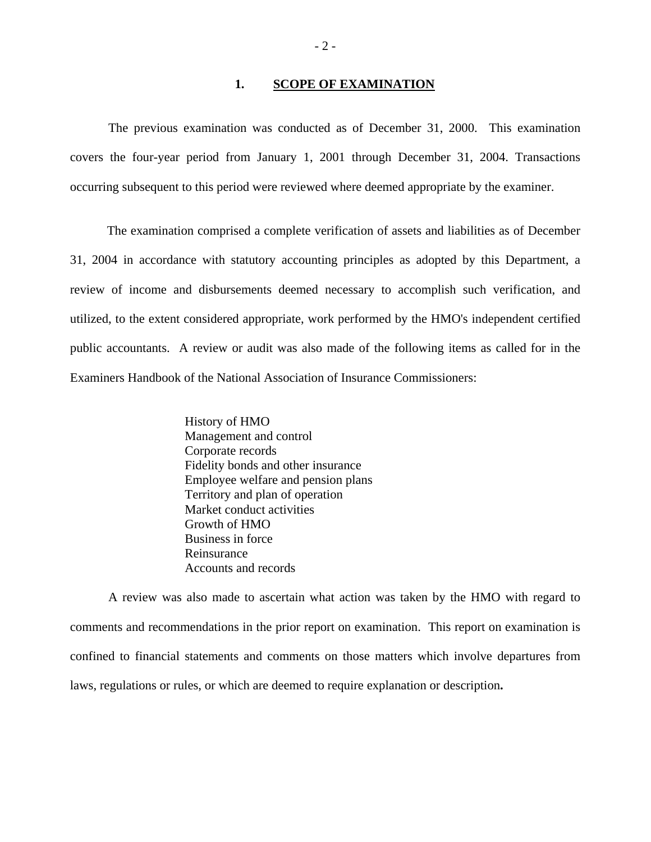#### 1. **SCOPE OF EXAMINATION**

The previous examination was conducted as of December 31, 2000. This examination covers the four-year period from January 1, 2001 through December 31, 2004. Transactions occurring subsequent to this period were reviewed where deemed appropriate by the examiner.

The examination comprised a complete verification of assets and liabilities as of December 31, 2004 in accordance with statutory accounting principles as adopted by this Department, a review of income and disbursements deemed necessary to accomplish such verification, and utilized, to the extent considered appropriate, work performed by the HMO's independent certified public accountants. A review or audit was also made of the following items as called for in the Examiners Handbook of the National Association of Insurance Commissioners:

> History of HMO Management and control Corporate records Fidelity bonds and other insurance Employee welfare and pension plans Territory and plan of operation Market conduct activities Growth of HMO Business in force Reinsurance Accounts and records

A review was also made to ascertain what action was taken by the HMO with regard to comments and recommendations in the prior report on examination. This report on examination is confined to financial statements and comments on those matters which involve departures from laws, regulations or rules, or which are deemed to require explanation or description**.**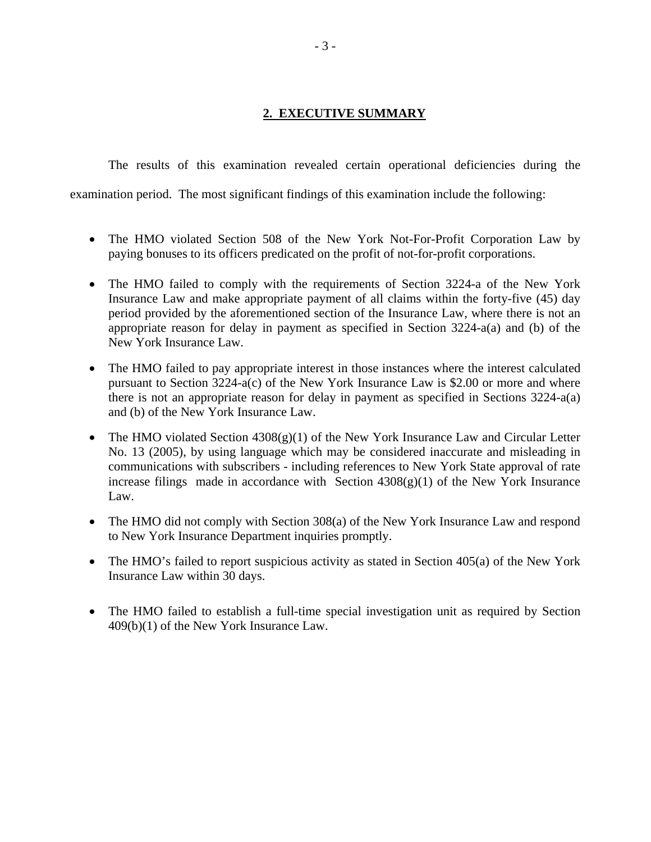# **2. EXECUTIVE SUMMARY**

The results of this examination revealed certain operational deficiencies during the

examination period. The most significant findings of this examination include the following:

- The HMO violated Section 508 of the New York Not-For-Profit Corporation Law by paying bonuses to its officers predicated on the profit of not-for-profit corporations.
- The HMO failed to comply with the requirements of Section 3224-a of the New York Insurance Law and make appropriate payment of all claims within the forty-five (45) day period provided by the aforementioned section of the Insurance Law, where there is not an appropriate reason for delay in payment as specified in Section 3224-a(a) and (b) of the New York Insurance Law.
- The HMO failed to pay appropriate interest in those instances where the interest calculated pursuant to Section 3224-a(c) of the New York Insurance Law is \$2.00 or more and where there is not an appropriate reason for delay in payment as specified in Sections 3224-a(a) and (b) of the New York Insurance Law.
- The HMO violated Section  $4308(g)(1)$  of the New York Insurance Law and Circular Letter No. 13 (2005), by using language which may be considered inaccurate and misleading in communications with subscribers - including references to New York State approval of rate increase filings made in accordance with Section  $4308(g)(1)$  of the New York Insurance Law.
- The HMO did not comply with Section 308(a) of the New York Insurance Law and respond to New York Insurance Department inquiries promptly.
- The HMO's failed to report suspicious activity as stated in Section 405(a) of the New York Insurance Law within 30 days.
- The HMO failed to establish a full-time special investigation unit as required by Section 409(b)(1) of the New York Insurance Law.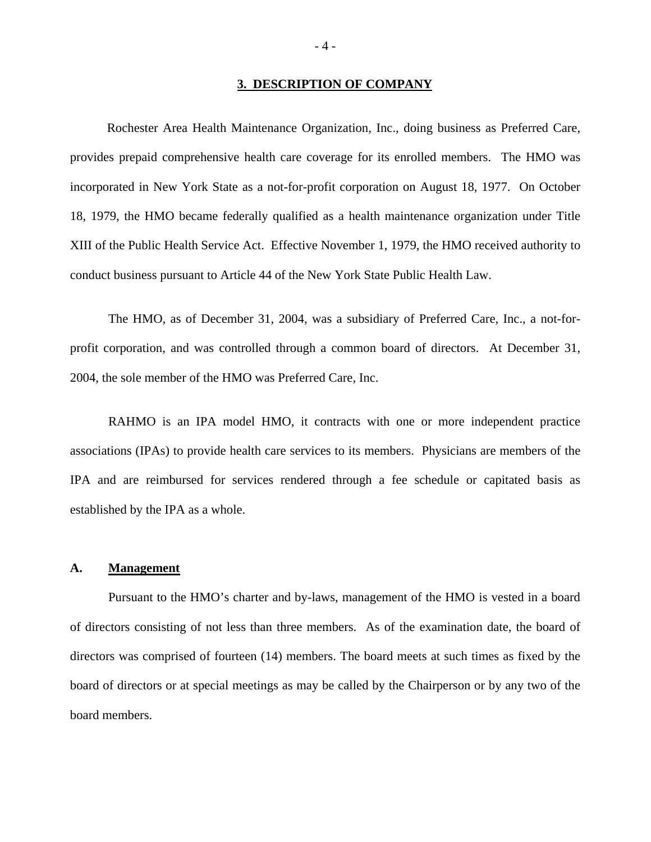#### **3. DESCRIPTION OF COMPANY**

Rochester Area Health Maintenance Organization, Inc., doing business as Preferred Care, provides prepaid comprehensive health care coverage for its enrolled members. The HMO was incorporated in New York State as a not-for-profit corporation on August 18, 1977. On October 18, 1979, the HMO became federally qualified as a health maintenance organization under Title XIII of the Public Health Service Act. Effective November 1, 1979, the HMO received authority to conduct business pursuant to Article 44 of the New York State Public Health Law.

The HMO, as of December 31, 2004, was a subsidiary of Preferred Care, Inc., a not-forprofit corporation, and was controlled through a common board of directors. At December 31, 2004, the sole member of the HMO was Preferred Care, Inc.

RAHMO is an IPA model HMO, it contracts with one or more independent practice associations (IPAs) to provide health care services to its members. Physicians are members of the IPA and are reimbursed for services rendered through a fee schedule or capitated basis as established by the IPA as a whole.

#### **A. Management**

Pursuant to the HMO's charter and by-laws, management of the HMO is vested in a board of directors consisting of not less than three members. As of the examination date, the board of directors was comprised of fourteen (14) members. The board meets at such times as fixed by the board of directors or at special meetings as may be called by the Chairperson or by any two of the board members.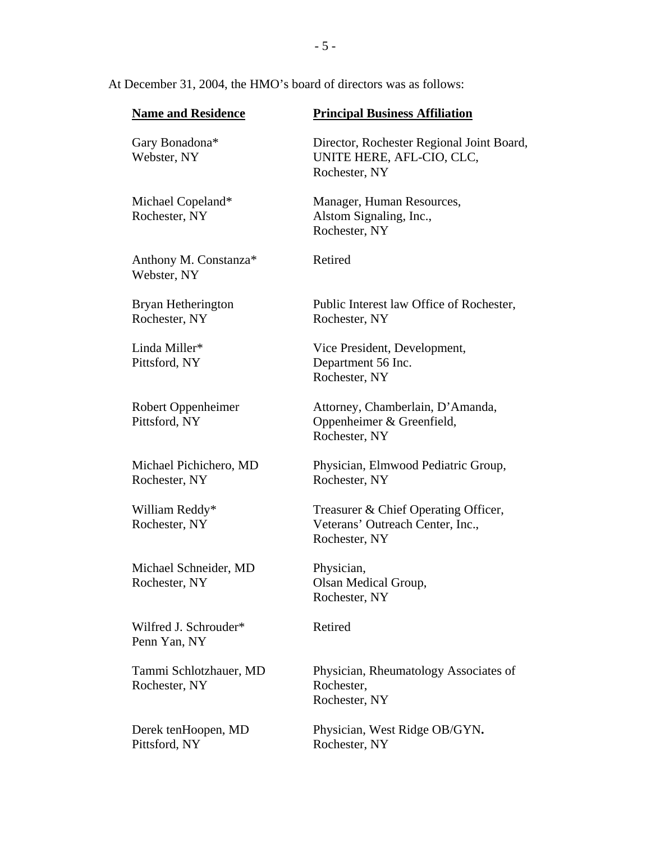#### At December 31, 2004, the HMO's board of directors was as follows:

| <b>Name and Residence</b>               | <b>Principal Business Affiliation</b>                                                     |  |  |
|-----------------------------------------|-------------------------------------------------------------------------------------------|--|--|
| Gary Bonadona*<br>Webster, NY           | Director, Rochester Regional Joint Board,<br>UNITE HERE, AFL-CIO, CLC,<br>Rochester, NY   |  |  |
| Michael Copeland*<br>Rochester, NY      | Manager, Human Resources,<br>Alstom Signaling, Inc.,<br>Rochester, NY                     |  |  |
| Anthony M. Constanza*<br>Webster, NY    | Retired                                                                                   |  |  |
| Bryan Hetherington<br>Rochester, NY     | Public Interest law Office of Rochester,<br>Rochester, NY                                 |  |  |
| Linda Miller*<br>Pittsford, NY          | Vice President, Development,<br>Department 56 Inc.<br>Rochester, NY                       |  |  |
| Robert Oppenheimer<br>Pittsford, NY     | Attorney, Chamberlain, D'Amanda,<br>Oppenheimer & Greenfield,<br>Rochester, NY            |  |  |
| Michael Pichichero, MD<br>Rochester, NY | Physician, Elmwood Pediatric Group,<br>Rochester, NY                                      |  |  |
| William Reddy*<br>Rochester, NY         | Treasurer & Chief Operating Officer,<br>Veterans' Outreach Center, Inc.,<br>Rochester, NY |  |  |
| Michael Schneider, MD<br>Rochester, NY  | Physician,<br>Olsan Medical Group,<br>Rochester, NY                                       |  |  |
| Wilfred J. Schrouder*<br>Penn Yan, NY   | Retired                                                                                   |  |  |
| Tammi Schlotzhauer, MD<br>Rochester, NY | Physician, Rheumatology Associates of<br>Rochester,<br>Rochester, NY                      |  |  |
| Derek tenHoopen, MD<br>Pittsford, NY    | Physician, West Ridge OB/GYN.<br>Rochester, NY                                            |  |  |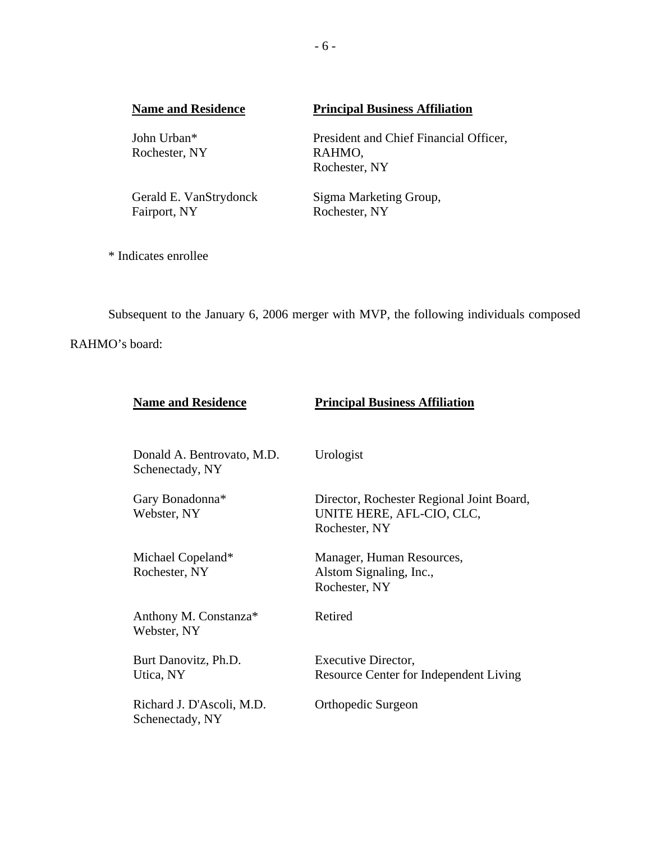| <b>Name and Residence</b> |                              | <b>Principal Business Affiliation</b>            |  |  |
|---------------------------|------------------------------|--------------------------------------------------|--|--|
|                           | John Urban*<br>Rochester, NY | President and Chief Financial Officer,<br>RAHMO, |  |  |
|                           |                              | Rochester, NY                                    |  |  |
|                           | Gerald E. VanStrydonck       | Sigma Marketing Group,                           |  |  |
|                           | Fairport, NY                 | Rochester, NY                                    |  |  |

\* Indicates enrollee

Subsequent to the January 6, 2006 merger with MVP, the following individuals composed RAHMO's board:

| <b>Name and Residence</b>                     | <b>Principal Business Affiliation</b>                                                   |
|-----------------------------------------------|-----------------------------------------------------------------------------------------|
| Donald A. Bentrovato, M.D.<br>Schenectady, NY | Urologist                                                                               |
| Gary Bonadonna*<br>Webster, NY                | Director, Rochester Regional Joint Board,<br>UNITE HERE, AFL-CIO, CLC,<br>Rochester, NY |
| Michael Copeland*<br>Rochester, NY            | Manager, Human Resources,<br>Alstom Signaling, Inc.,<br>Rochester, NY                   |
| Anthony M. Constanza*<br>Webster, NY          | Retired                                                                                 |
| Burt Danovitz, Ph.D.<br>Utica, NY             | Executive Director,<br>Resource Center for Independent Living                           |
| Richard J. D'Ascoli, M.D.<br>Schenectady, NY  | Orthopedic Surgeon                                                                      |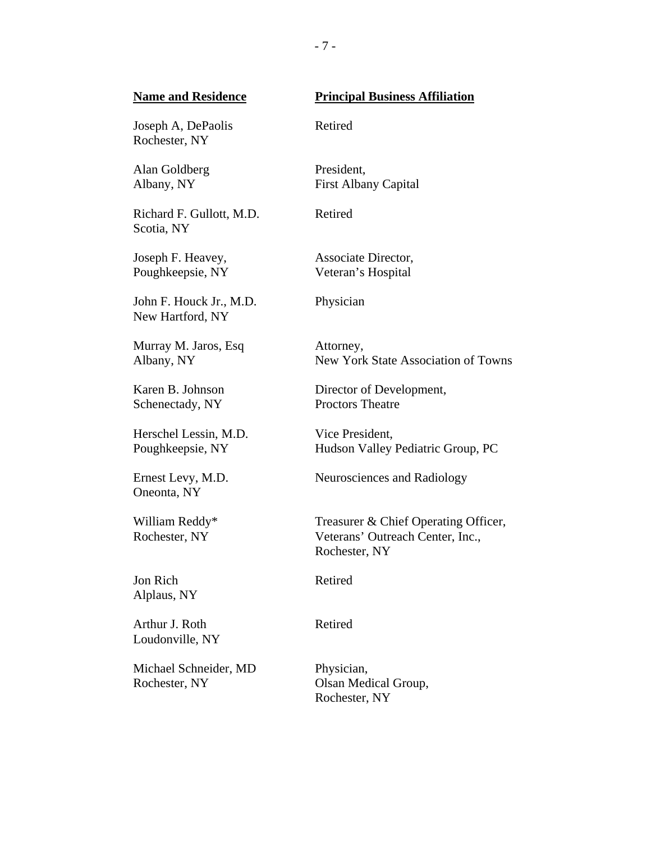#### **Name and Residence**  Joseph A, DePaolis Rochester, NY Alan Goldberg Albany, NY Richard F. Gullott, M.D. Scotia, NY Joseph F. Heavey, Poughkeepsie, NY John F. Houck Jr., M.D. New Hartford, NY Murray M. Jaros, Esq Albany, NY Karen B. Johnson Schenectady, NY Herschel Lessin, M.D. Poughkeepsie, NY Ernest Levy, M.D. Oneonta, NY William Reddy\* Rochester, NY Jon Rich Alplaus, NY Arthur J. Roth Loudonville, NY Michael Schneider, MD Rochester, NY **Principal Business Affiliation**  Retired President, First Albany Capital Retired Associate Director, Veteran's Hospital Physician Attorney, New York State Association of Towns Director of Development, Proctors Theatre Vice President, Hudson Valley Pediatric Group, PC Neurosciences and Radiology Treasurer & Chief Operating Officer, Veterans' Outreach Center, Inc., Rochester, NY Retired Retired Physician, Olsan Medical Group, Rochester, NY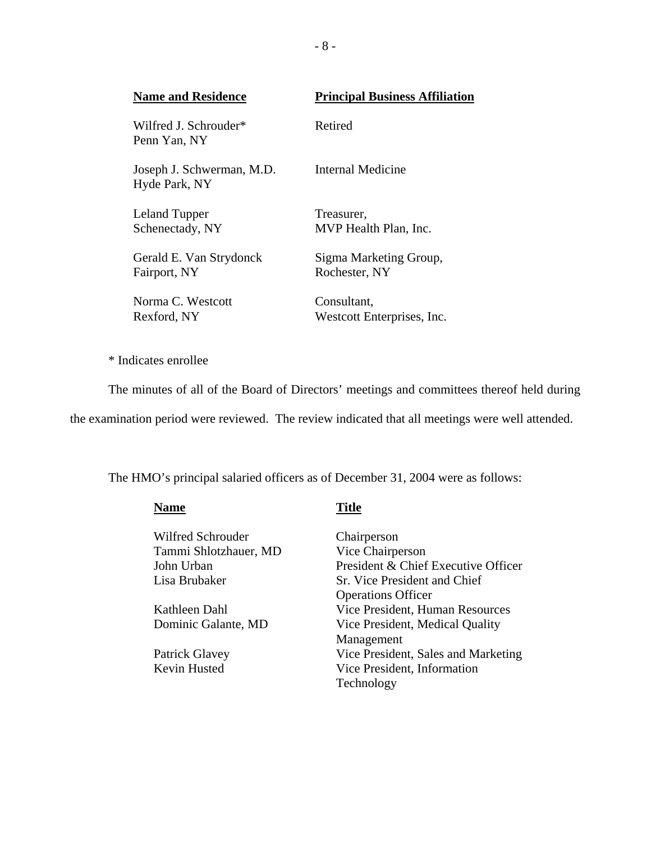| <b>Name and Residence</b>                  | <b>Principal Business Affiliation</b>     |
|--------------------------------------------|-------------------------------------------|
| Wilfred L Schrouder*<br>Penn Yan, NY       | Retired                                   |
| Joseph J. Schwerman, M.D.<br>Hyde Park, NY | Internal Medicine                         |
| Leland Tupper<br>Schenectady, NY           | Treasurer,<br>MVP Health Plan, Inc.       |
| Gerald E. Van Strydonck<br>Fairport, NY    | Sigma Marketing Group,<br>Rochester, NY   |
| Norma C. Westcott<br>Rexford, NY           | Consultant,<br>Westcott Enterprises, Inc. |

\* Indicates enrollee

The minutes of all of the Board of Directors' meetings and committees thereof held during

the examination period were reviewed. The review indicated that all meetings were well attended.

The HMO's principal salaried officers as of December 31, 2004 were as follows:

| <b>Name</b>           | <b>Title</b>      |
|-----------------------|-------------------|
| Wilfred Schrouder     | Chair             |
| Tammi Shlotzhauer, MD | Vice              |
| John Urban            | Presio            |
| Lisa Brubaker         | Sr. Vi            |
|                       | Opera             |
| Kathleen Dahl         | Vice <sup>1</sup> |
| Dominic Galante, MD   | Vice 1            |
|                       | Mana              |
| Patrick Glavey        | Vice <sup>-</sup> |

Chairperson Vice Chairperson President & Chief Executive Officer Sr. Vice President and Chief Operations Officer Vice President, Human Resources Vice President, Medical Quality Management Patrick Glavey Vice President, Sales and Marketing<br>
Kevin Husted Vice President, Information Vice President, Information Technology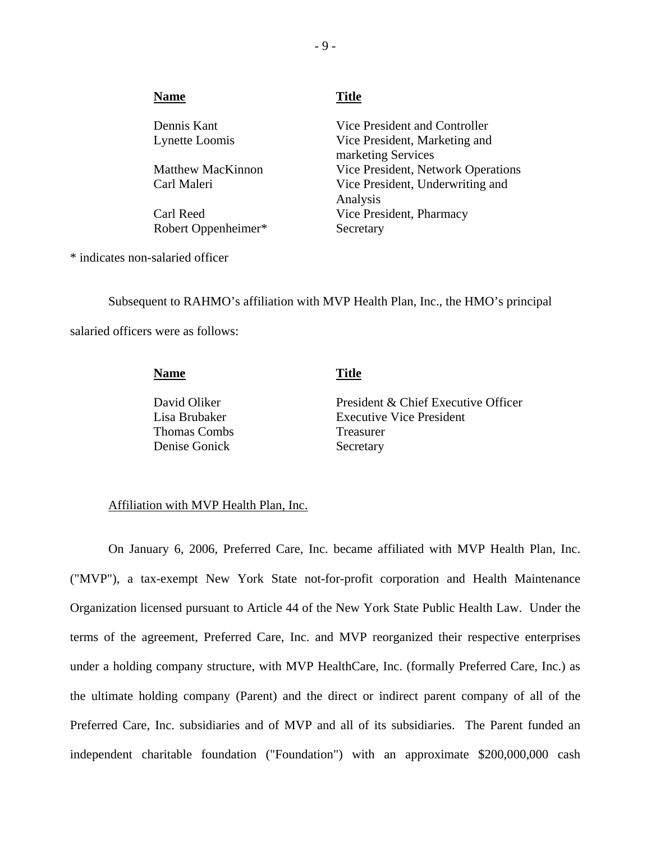| <b>Name</b>              | <b>Title</b>                                        |
|--------------------------|-----------------------------------------------------|
| Dennis Kant              | Vice President and Controller                       |
| Lynette Loomis           | Vice President, Marketing and<br>marketing Services |
| <b>Matthew MacKinnon</b> | Vice President, Network Operations                  |
| Carl Maleri              | Vice President, Underwriting and<br>Analysis        |
| Carl Reed                | Vice President, Pharmacy                            |
| Robert Oppenheimer*      | Secretary                                           |

\* indicates non-salaried officer

 salaried officers were as follows: Subsequent to RAHMO's affiliation with MVP Health Plan, Inc., the HMO's principal

> David Oliker **Name** Title President & Chief Executive Officer Lisa Brubaker Executive Vice President Thomas Combs Treasurer Denise Gonick Secretary

#### Affiliation with MVP Health Plan, Inc.

On January 6, 2006, Preferred Care, Inc. became affiliated with MVP Health Plan, Inc. ("MVP"), a tax-exempt New York State not-for-profit corporation and Health Maintenance Organization licensed pursuant to Article 44 of the New York State Public Health Law. Under the terms of the agreement, Preferred Care, Inc. and MVP reorganized their respective enterprises under a holding company structure, with MVP HealthCare, Inc. (formally Preferred Care, Inc.) as the ultimate holding company (Parent) and the direct or indirect parent company of all of the Preferred Care, Inc. subsidiaries and of MVP and all of its subsidiaries. The Parent funded an independent charitable foundation ("Foundation") with an approximate \$200,000,000 cash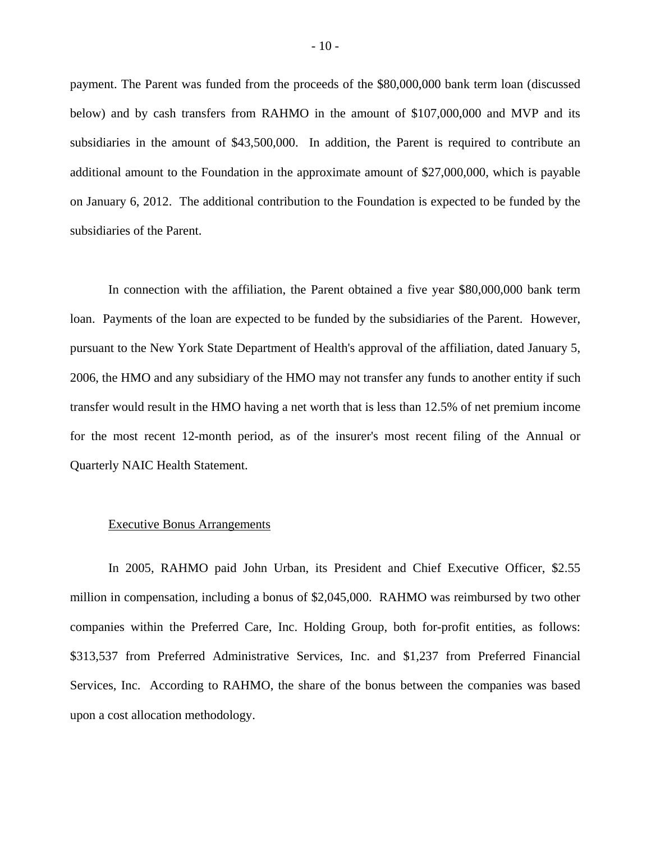payment. The Parent was funded from the proceeds of the \$80,000,000 bank term loan (discussed below) and by cash transfers from RAHMO in the amount of \$107,000,000 and MVP and its subsidiaries in the amount of \$43,500,000. In addition, the Parent is required to contribute an additional amount to the Foundation in the approximate amount of \$27,000,000, which is payable on January 6, 2012. The additional contribution to the Foundation is expected to be funded by the subsidiaries of the Parent.

In connection with the affiliation, the Parent obtained a five year \$80,000,000 bank term loan. Payments of the loan are expected to be funded by the subsidiaries of the Parent. However, pursuant to the New York State Department of Health's approval of the affiliation, dated January 5, 2006, the HMO and any subsidiary of the HMO may not transfer any funds to another entity if such transfer would result in the HMO having a net worth that is less than 12.5% of net premium income for the most recent 12-month period, as of the insurer's most recent filing of the Annual or Quarterly NAIC Health Statement.

#### Executive Bonus Arrangements

In 2005, RAHMO paid John Urban, its President and Chief Executive Officer, \$2.55 million in compensation, including a bonus of \$2,045,000. RAHMO was reimbursed by two other companies within the Preferred Care, Inc. Holding Group, both for-profit entities, as follows: \$313,537 from Preferred Administrative Services, Inc. and \$1,237 from Preferred Financial Services, Inc. According to RAHMO, the share of the bonus between the companies was based upon a cost allocation methodology.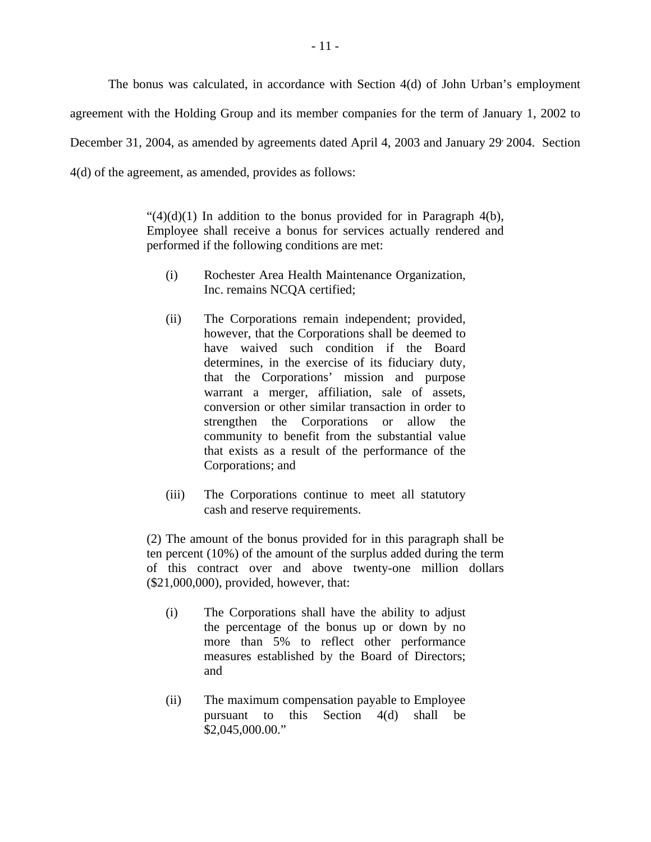The bonus was calculated, in accordance with Section 4(d) of John Urban's employment agreement with the Holding Group and its member companies for the term of January 1, 2002 to December 31, 2004, as amended by agreements dated April 4, 2003 and January 29 2004. Section 4(d) of the agreement, as amended, provides as follows:

> " $(4)(d)(1)$  In addition to the bonus provided for in Paragraph 4(b), Employee shall receive a bonus for services actually rendered and performed if the following conditions are met:

- (i) Rochester Area Health Maintenance Organization, Inc. remains NCQA certified;
- (ii) The Corporations remain independent; provided, however, that the Corporations shall be deemed to have waived such condition if the Board determines, in the exercise of its fiduciary duty, that the Corporations' mission and purpose warrant a merger, affiliation, sale of assets, conversion or other similar transaction in order to strengthen the Corporations or allow the community to benefit from the substantial value that exists as a result of the performance of the Corporations; and
- (iii) The Corporations continue to meet all statutory cash and reserve requirements.

(2) The amount of the bonus provided for in this paragraph shall be ten percent (10%) of the amount of the surplus added during the term of this contract over and above twenty-one million dollars (\$21,000,000), provided, however, that:

- (i) The Corporations shall have the ability to adjust the percentage of the bonus up or down by no more than 5% to reflect other performance measures established by the Board of Directors; and
- (ii) The maximum compensation payable to Employee pursuant to this Section 4(d) shall be \$[2,045,000.00.](https://2,045,000.00)"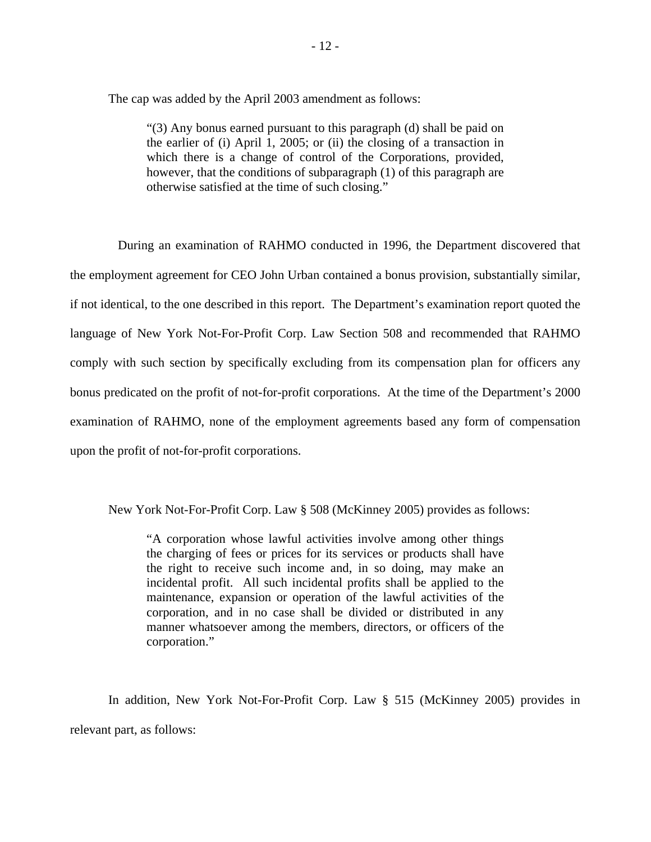The cap was added by the April 2003 amendment as follows:

"(3) Any bonus earned pursuant to this paragraph (d) shall be paid on the earlier of (i) April 1, 2005; or (ii) the closing of a transaction in which there is a change of control of the Corporations, provided, however, that the conditions of subparagraph (1) of this paragraph are otherwise satisfied at the time of such closing."

During an examination of RAHMO conducted in 1996, the Department discovered that the employment agreement for CEO John Urban contained a bonus provision, substantially similar, if not identical, to the one described in this report. The Department's examination report quoted the language of New York Not-For-Profit Corp. Law Section 508 and recommended that RAHMO comply with such section by specifically excluding from its compensation plan for officers any bonus predicated on the profit of not-for-profit corporations. At the time of the Department's 2000 examination of RAHMO, none of the employment agreements based any form of compensation upon the profit of not-for-profit corporations.

New York Not-For-Profit Corp. Law § 508 (McKinney 2005) provides as follows:

"A corporation whose lawful activities involve among other things the charging of fees or prices for its services or products shall have the right to receive such income and, in so doing, may make an incidental profit. All such incidental profits shall be applied to the maintenance, expansion or operation of the lawful activities of the corporation, and in no case shall be divided or distributed in any manner whatsoever among the members, directors, or officers of the corporation."

In addition, New York Not-For-Profit Corp. Law § 515 (McKinney 2005) provides in relevant part, as follows: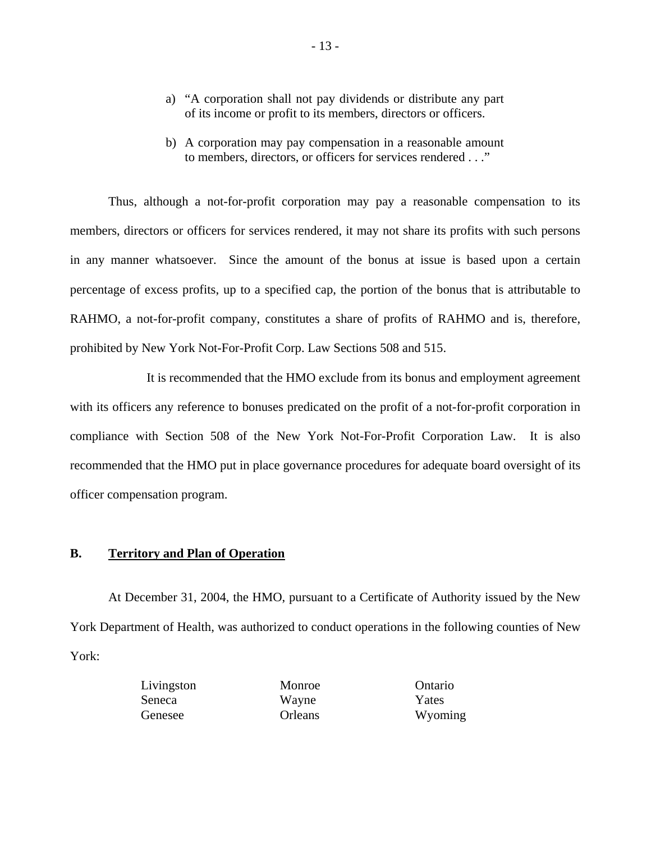- a) "A corporation shall not pay dividends or distribute any part of its income or profit to its members, directors or officers.
- b) A corporation may pay compensation in a reasonable amount to members, directors, or officers for services rendered . . ."

Thus, although a not-for-profit corporation may pay a reasonable compensation to its members, directors or officers for services rendered, it may not share its profits with such persons in any manner whatsoever. Since the amount of the bonus at issue is based upon a certain percentage of excess profits, up to a specified cap, the portion of the bonus that is attributable to RAHMO, a not-for-profit company, constitutes a share of profits of RAHMO and is, therefore, prohibited by New York Not-For-Profit Corp. Law Sections 508 and 515.

It is recommended that the HMO exclude from its bonus and employment agreement with its officers any reference to bonuses predicated on the profit of a not-for-profit corporation in compliance with Section 508 of the New York Not-For-Profit Corporation Law. It is also recommended that the HMO put in place governance procedures for adequate board oversight of its officer compensation program.

#### **B. Territory and Plan of Operation**

At December 31, 2004, the HMO, pursuant to a Certificate of Authority issued by the New York Department of Health, was authorized to conduct operations in the following counties of New York:

> Seneca Wayne Yates Genesee Orleans Wyoming

Livingston Monroe Ontario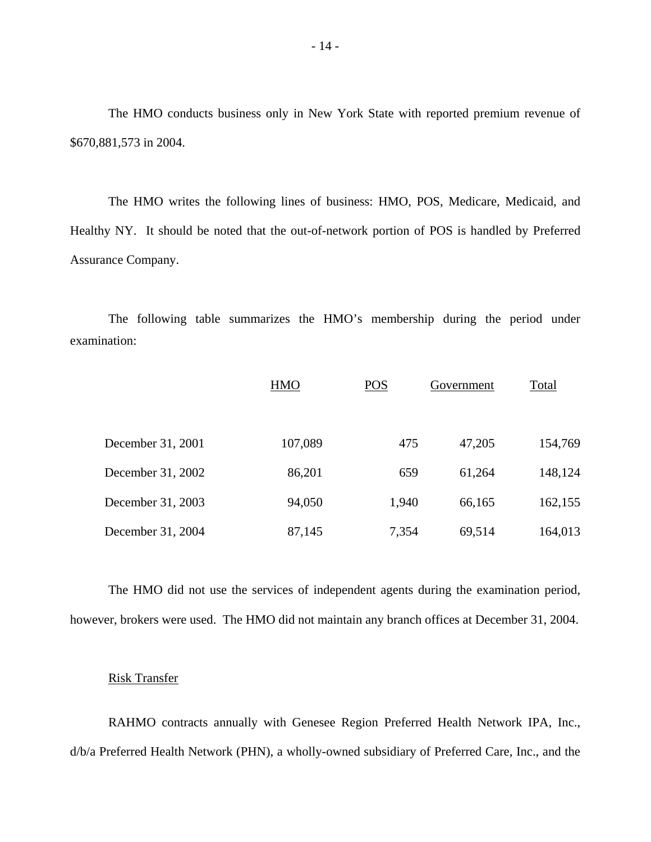The HMO conducts business only in New York State with reported premium revenue of \$670,881,573 in 2004.

The HMO writes the following lines of business: HMO, POS, Medicare, Medicaid, and Healthy NY. It should be noted that the out-of-network portion of POS is handled by Preferred Assurance Company.

The following table summarizes the HMO's membership during the period under examination:

|                   | <b>HMO</b> | <b>POS</b> | Government | Total   |
|-------------------|------------|------------|------------|---------|
|                   |            |            |            |         |
| December 31, 2001 | 107,089    | 475        | 47,205     | 154,769 |
| December 31, 2002 | 86,201     | 659        | 61,264     | 148,124 |
| December 31, 2003 | 94,050     | 1,940      | 66,165     | 162,155 |
| December 31, 2004 | 87,145     | 7,354      | 69,514     | 164,013 |

The HMO did not use the services of independent agents during the examination period, however, brokers were used. The HMO did not maintain any branch offices at December 31, 2004.

#### Risk Transfer

RAHMO contracts annually with Genesee Region Preferred Health Network IPA, Inc., d/b/a Preferred Health Network (PHN), a wholly-owned subsidiary of Preferred Care, Inc., and the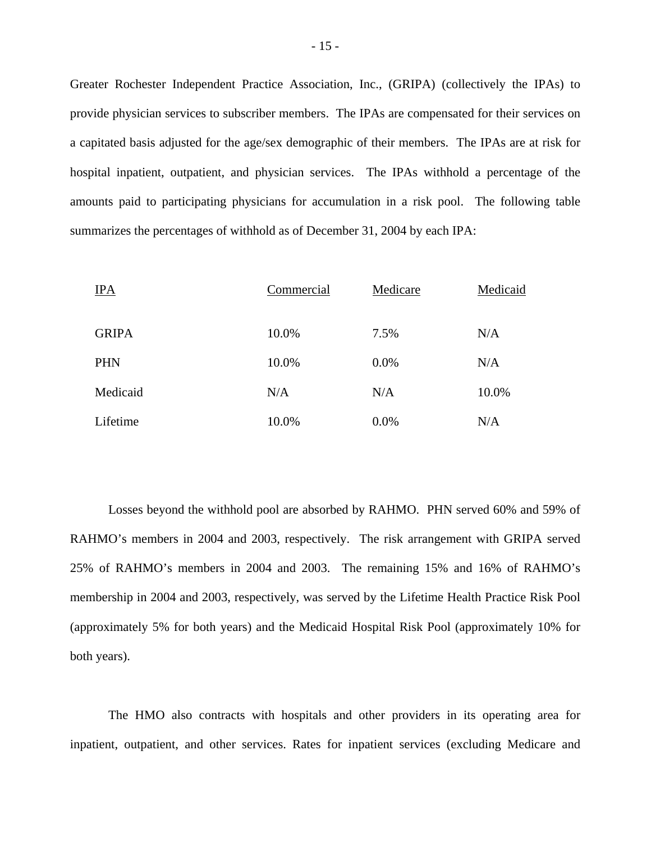Greater Rochester Independent Practice Association, Inc., (GRIPA) (collectively the IPAs) to provide physician services to subscriber members. The IPAs are compensated for their services on a capitated basis adjusted for the age/sex demographic of their members. The IPAs are at risk for hospital inpatient, outpatient, and physician services. The IPAs withhold a percentage of the amounts paid to participating physicians for accumulation in a risk pool. The following table summarizes the percentages of withhold as of December 31, 2004 by each IPA:

| IPA          | Commercial | Medicare | Medicaid |
|--------------|------------|----------|----------|
| <b>GRIPA</b> | 10.0%      | 7.5%     | N/A      |
| PHN          | 10.0%      | 0.0%     | N/A      |
| Medicaid     | N/A        | N/A      | 10.0%    |
| Lifetime     | 10.0%      | 0.0%     | N/A      |

Losses beyond the withhold pool are absorbed by RAHMO. PHN served 60% and 59% of RAHMO's members in 2004 and 2003, respectively. The risk arrangement with GRIPA served 25% of RAHMO's members in 2004 and 2003. The remaining 15% and 16% of RAHMO's membership in 2004 and 2003, respectively, was served by the Lifetime Health Practice Risk Pool (approximately 5% for both years) and the Medicaid Hospital Risk Pool (approximately 10% for both years).

The HMO also contracts with hospitals and other providers in its operating area for inpatient, outpatient, and other services. Rates for inpatient services (excluding Medicare and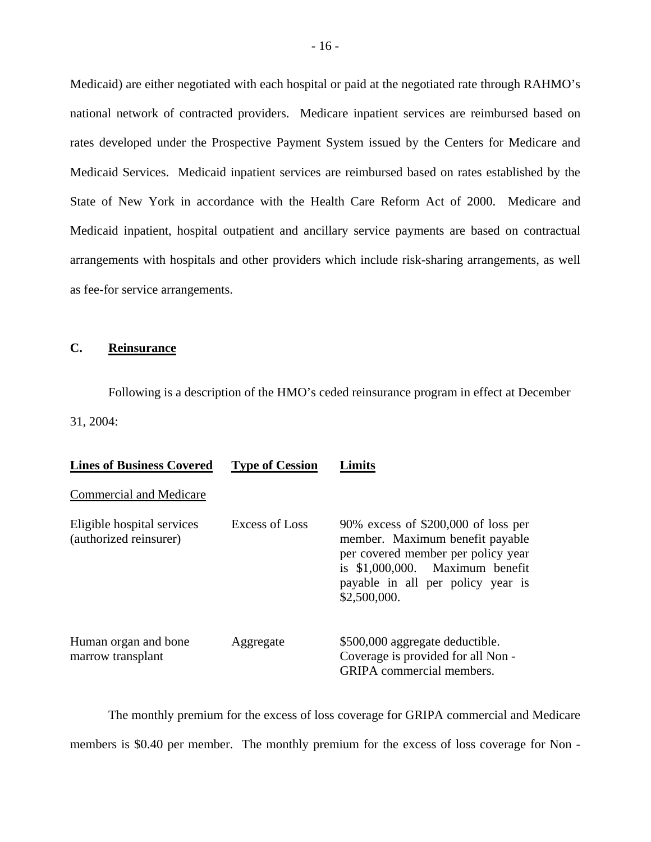Medicaid) are either negotiated with each hospital or paid at the negotiated rate through RAHMO's national network of contracted providers. Medicare inpatient services are reimbursed based on rates developed under the Prospective Payment System issued by the Centers for Medicare and Medicaid Services. Medicaid inpatient services are reimbursed based on rates established by the State of New York in accordance with the Health Care Reform Act of 2000. Medicare and Medicaid inpatient, hospital outpatient and ancillary service payments are based on contractual arrangements with hospitals and other providers which include risk-sharing arrangements, as well as fee-for service arrangements.

### **C. Reinsurance**

Following is a description of the HMO's ceded reinsurance program in effect at December 31, 2004:

| <b>Lines of Business Covered</b>                     | <b>Type of Cession</b> | .imits                                                                                                                                                                                                  |
|------------------------------------------------------|------------------------|---------------------------------------------------------------------------------------------------------------------------------------------------------------------------------------------------------|
| Commercial and Medicare                              |                        |                                                                                                                                                                                                         |
| Eligible hospital services<br>(authorized reinsurer) | Excess of Loss         | 90% excess of $$200,000$ of loss per<br>member. Maximum benefit payable<br>per covered member per policy year<br>is $$1,000,000$ . Maximum benefit<br>payable in all per policy year is<br>\$2,500,000. |
| Human organ and bone<br>marrow transplant            | Aggregate              | \$500,000 aggregate deductible.<br>Coverage is provided for all Non -<br><b>GRIPA</b> commercial members.                                                                                               |

The monthly premium for the excess of loss coverage for GRIPA commercial and Medicare members is \$0.40 per member. The monthly premium for the excess of loss coverage for Non -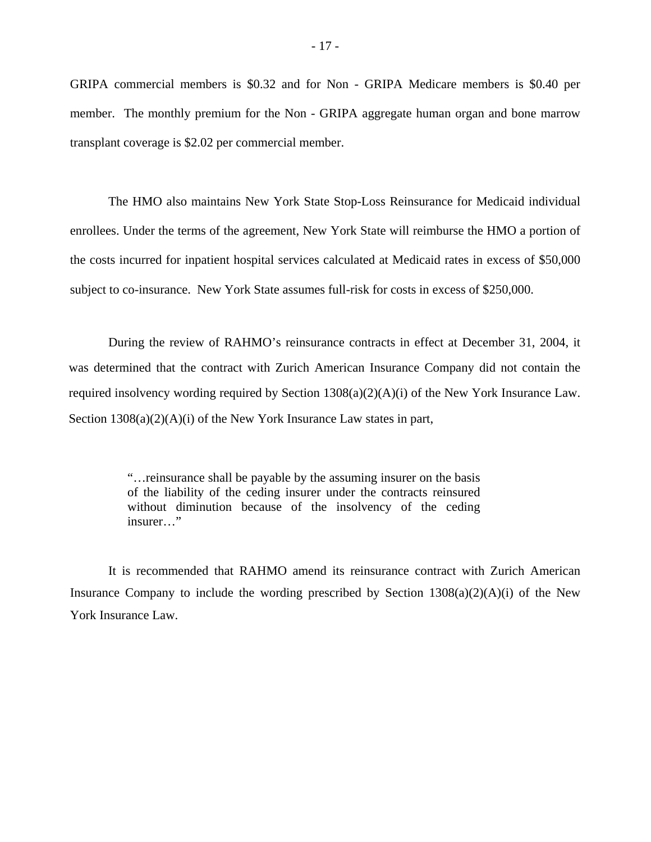GRIPA commercial members is \$0.32 and for Non - GRIPA Medicare members is \$0.40 per member. The monthly premium for the Non - GRIPA aggregate human organ and bone marrow transplant coverage is \$2.02 per commercial member.

The HMO also maintains New York State Stop-Loss Reinsurance for Medicaid individual enrollees. Under the terms of the agreement, New York State will reimburse the HMO a portion of the costs incurred for inpatient hospital services calculated at Medicaid rates in excess of \$50,000 subject to co-insurance. New York State assumes full-risk for costs in excess of \$250,000.

During the review of RAHMO's reinsurance contracts in effect at December 31, 2004, it was determined that the contract with Zurich American Insurance Company did not contain the required insolvency wording required by Section 1308(a)(2)(A)(i) of the New York Insurance Law. Section 1308(a)(2)(A)(i) of the New York Insurance Law states in part,

> "…reinsurance shall be payable by the assuming insurer on the basis of the liability of the ceding insurer under the contracts reinsured without diminution because of the insolvency of the ceding insurer…"

It is recommended that RAHMO amend its reinsurance contract with Zurich American Insurance Company to include the wording prescribed by Section  $1308(a)(2)(A)(i)$  of the New York Insurance Law.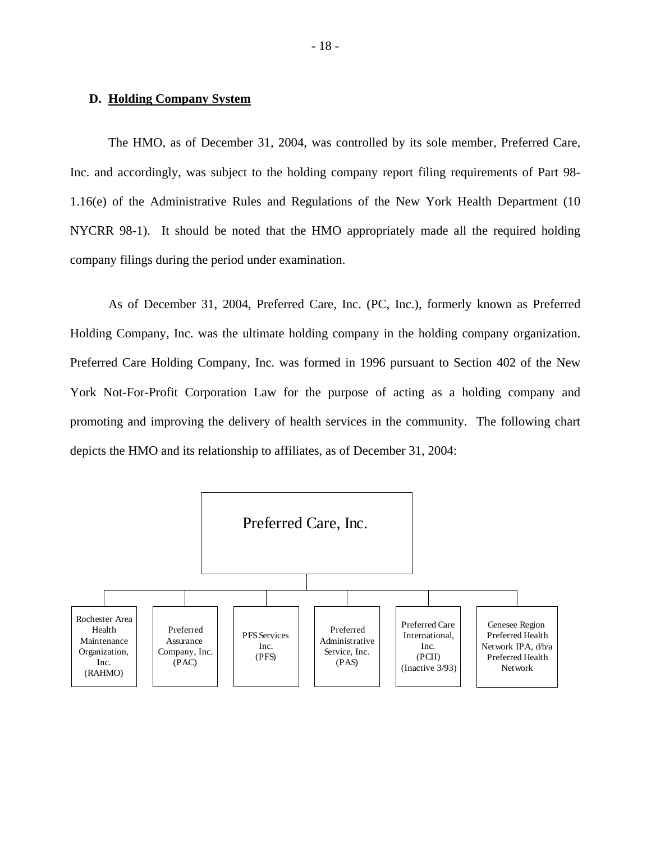#### **D. Holding Company System**

The HMO, as of December 31, 2004, was controlled by its sole member, Preferred Care, Inc. and accordingly, was subject to the holding company report filing requirements of Part 98- 1.16(e) of the Administrative Rules and Regulations of the New York Health Department (10 NYCRR 98-1). It should be noted that the HMO appropriately made all the required holding company filings during the period under examination.

As of December 31, 2004, Preferred Care, Inc. (PC, Inc.), formerly known as Preferred Holding Company, Inc. was the ultimate holding company in the holding company organization. Preferred Care Holding Company, Inc. was formed in 1996 pursuant to Section 402 of the New York Not-For-Profit Corporation Law for the purpose of acting as a holding company and promoting and improving the delivery of health services in the community. The following chart depicts the HMO and its relationship to affiliates, as of December 31, 2004:

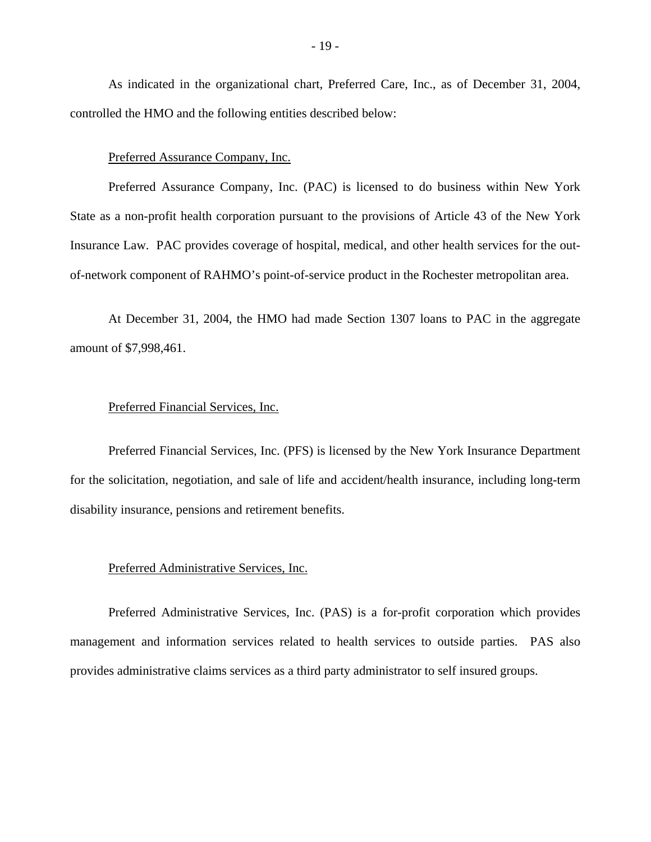As indicated in the organizational chart, Preferred Care, Inc., as of December 31, 2004, controlled the HMO and the following entities described below:

#### Preferred Assurance Company, Inc.

Preferred Assurance Company, Inc. (PAC) is licensed to do business within New York State as a non-profit health corporation pursuant to the provisions of Article 43 of the New York Insurance Law. PAC provides coverage of hospital, medical, and other health services for the outof-network component of RAHMO's point-of-service product in the Rochester metropolitan area.

At December 31, 2004, the HMO had made Section 1307 loans to PAC in the aggregate amount of \$7,998,461.

#### Preferred Financial Services, Inc.

Preferred Financial Services, Inc. (PFS) is licensed by the New York Insurance Department for the solicitation, negotiation, and sale of life and accident/health insurance, including long-term disability insurance, pensions and retirement benefits.

#### Preferred Administrative Services, Inc.

Preferred Administrative Services, Inc. (PAS) is a for-profit corporation which provides management and information services related to health services to outside parties. PAS also provides administrative claims services as a third party administrator to self insured groups.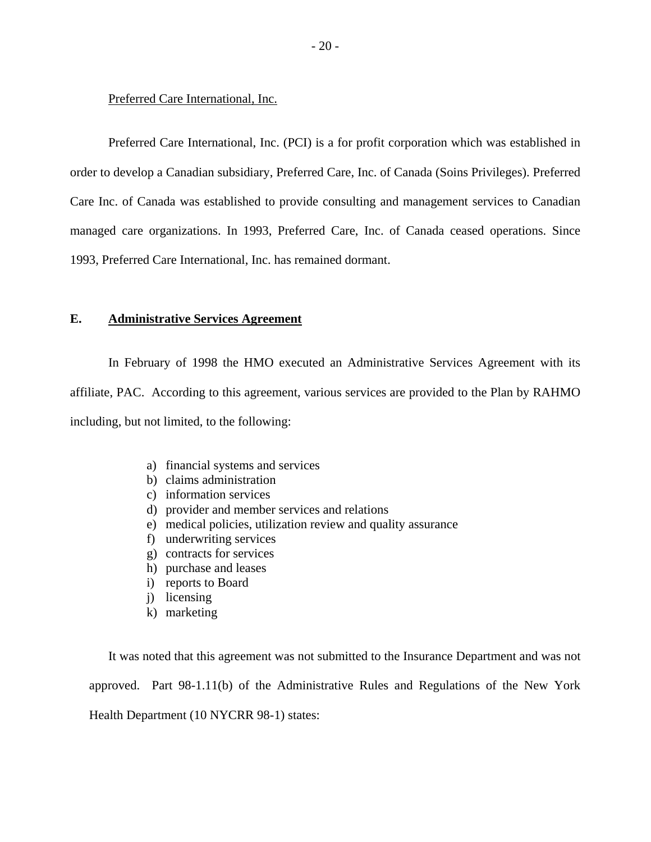Preferred Care International, Inc.

Preferred Care International, Inc. (PCI) is a for profit corporation which was established in order to develop a Canadian subsidiary, Preferred Care, Inc. of Canada (Soins Privileges). Preferred Care Inc. of Canada was established to provide consulting and management services to Canadian managed care organizations. In 1993, Preferred Care, Inc. of Canada ceased operations. Since 1993, Preferred Care International, Inc. has remained dormant.

#### **E. Administrative Services Agreement**

In February of 1998 the HMO executed an Administrative Services Agreement with its affiliate, PAC. According to this agreement, various services are provided to the Plan by RAHMO including, but not limited, to the following:

- a) financial systems and services
- b) claims administration
- c) information services
- d) provider and member services and relations
- e) medical policies, utilization review and quality assurance
- f) underwriting services
- g) contracts for services
- h) purchase and leases
- i) reports to Board
- j) licensing
- k) marketing

It was noted that this agreement was not submitted to the Insurance Department and was not approved. Part 98-1.11(b) of the Administrative Rules and Regulations of the New York Health Department (10 NYCRR 98-1) states: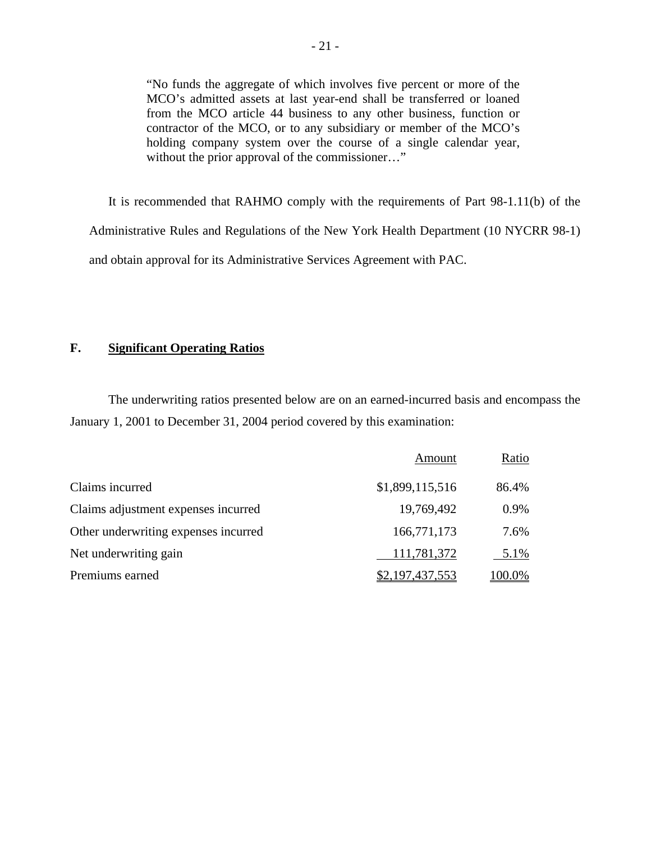"No funds the aggregate of which involves five percent or more of the MCO's admitted assets at last year-end shall be transferred or loaned from the MCO article 44 business to any other business, function or contractor of the MCO, or to any subsidiary or member of the MCO's holding company system over the course of a single calendar year, without the prior approval of the commissioner..."

It is recommended that RAHMO comply with the requirements of Part 98-1.11(b) of the Administrative Rules and Regulations of the New York Health Department (10 NYCRR 98-1) and obtain approval for its Administrative Services Agreement with PAC.

### **F. Significant Operating Ratios**

The underwriting ratios presented below are on an earned-incurred basis and encompass the January 1, 2001 to December 31, 2004 period covered by this examination:

|                                      | Amount          | Ratio  |
|--------------------------------------|-----------------|--------|
| Claims incurred                      | \$1,899,115,516 | 86.4%  |
| Claims adjustment expenses incurred  | 19,769,492      | 0.9%   |
| Other underwriting expenses incurred | 166,771,173     | 7.6%   |
| Net underwriting gain                | 111,781,372     | 5.1%   |
| Premiums earned                      | \$2,197,437,553 | 100.0% |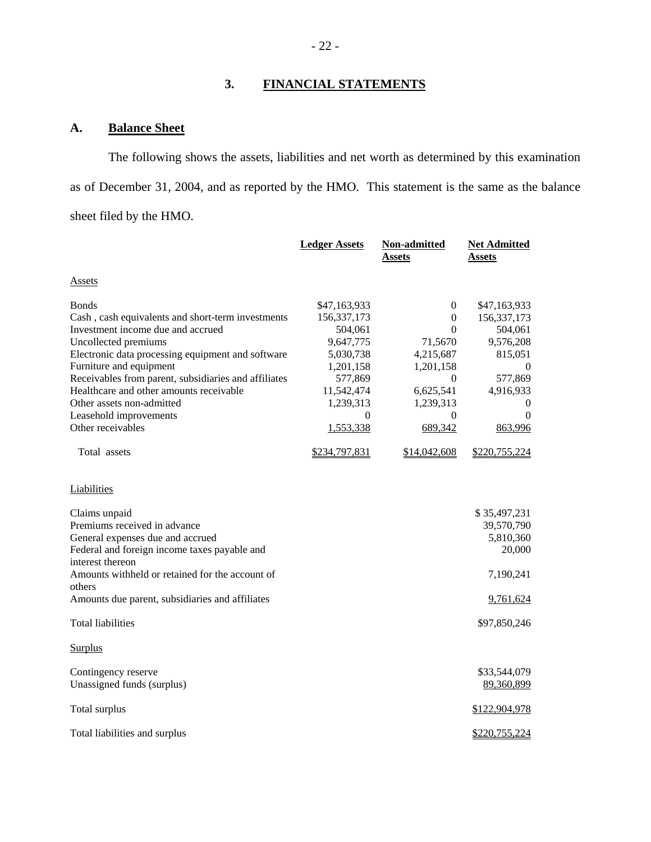# **3. FINANCIAL STATEMENTS**

# **A. Balance Sheet**

The following shows the assets, liabilities and net worth as determined by this examination as of December 31, 2004, and as reported by the HMO. This statement is the same as the balance sheet filed by the HMO.

|                                                      | <b>Ledger Assets</b> | Non-admitted     | <b>Net Admitted</b> |
|------------------------------------------------------|----------------------|------------------|---------------------|
|                                                      |                      | Assets           | Assets              |
| Assets                                               |                      |                  |                     |
|                                                      |                      |                  |                     |
| <b>Bonds</b>                                         | \$47,163,933         | $\theta$         | \$47,163,933        |
| Cash, cash equivalents and short-term investments    | 156, 337, 173        | $\mathbf{0}$     | 156, 337, 173       |
| Investment income due and accrued                    | 504,061              | $\Omega$         | 504,061             |
| Uncollected premiums                                 | 9,647,775            | 71,5670          | 9,576,208           |
| Electronic data processing equipment and software    | 5,030,738            | 4,215,687        | 815,051             |
| Furniture and equipment                              | 1,201,158            | 1,201,158        | $\overline{0}$      |
| Receivables from parent, subsidiaries and affiliates | 577,869              | $\boldsymbol{0}$ | 577,869             |
| Healthcare and other amounts receivable              | 11,542,474           | 6,625,541        | 4,916,933           |
| Other assets non-admitted                            | 1,239,313            | 1,239,313        | $\mathbf{0}$        |
| Leasehold improvements                               | 0                    | $\theta$         | $\theta$            |
| Other receivables                                    | 1,553,338            | 689,342          | 863,996             |
| Total assets                                         | \$234,797,831        | \$14,042,608     | \$220,755,224       |
| Liabilities                                          |                      |                  |                     |
| Claims unpaid                                        |                      |                  | \$35,497,231        |
| Premiums received in advance                         |                      |                  | 39,570,790          |
| General expenses due and accrued                     |                      |                  | 5,810,360           |
| Federal and foreign income taxes payable and         |                      |                  | 20,000              |
| interest thereon                                     |                      |                  |                     |
| Amounts withheld or retained for the account of      |                      |                  | 7,190,241           |
| others                                               |                      |                  |                     |
| Amounts due parent, subsidiaries and affiliates      |                      |                  | 9,761,624           |
| <b>Total liabilities</b>                             |                      |                  | \$97,850,246        |
| <b>Surplus</b>                                       |                      |                  |                     |
| Contingency reserve                                  |                      |                  | \$33,544,079        |
| Unassigned funds (surplus)                           |                      |                  | 89,360,899          |
| Total surplus                                        |                      |                  | \$122,904,978       |
| Total liabilities and surplus                        |                      |                  | \$220,755,224       |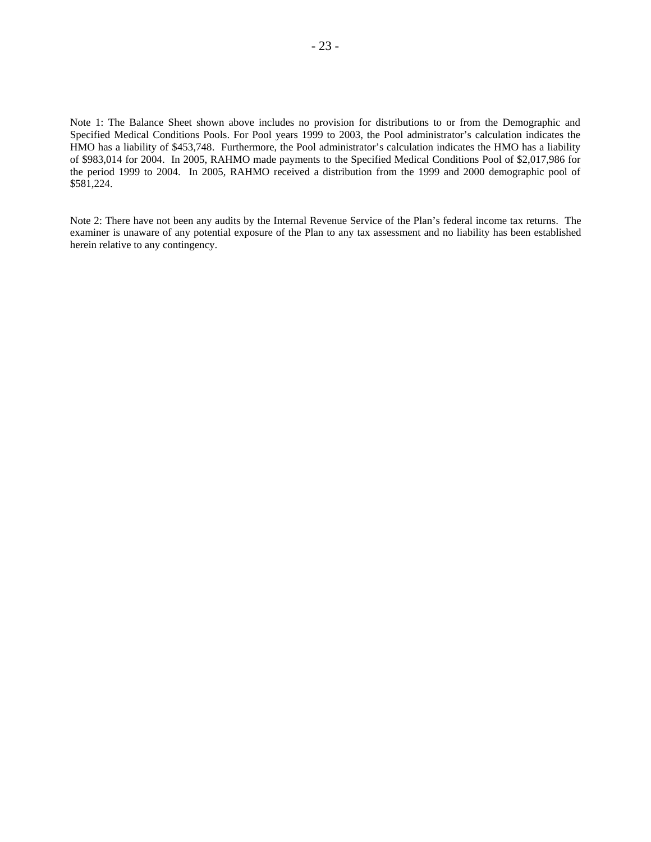Note 1: The Balance Sheet shown above includes no provision for distributions to or from the Demographic and Specified Medical Conditions Pools. For Pool years 1999 to 2003, the Pool administrator's calculation indicates the HMO has a liability of \$453,748. Furthermore, the Pool administrator's calculation indicates the HMO has a liability of \$983,014 for 2004. In 2005, RAHMO made payments to the Specified Medical Conditions Pool of \$2,017,986 for the period 1999 to 2004. In 2005, RAHMO received a distribution from the 1999 and 2000 demographic pool of \$581,224.

 Note 2: There have not been any audits by the Internal Revenue Service of the Plan's federal income tax returns. The examiner is unaware of any potential exposure of the Plan to any tax assessment and no liability has been established herein relative to any contingency.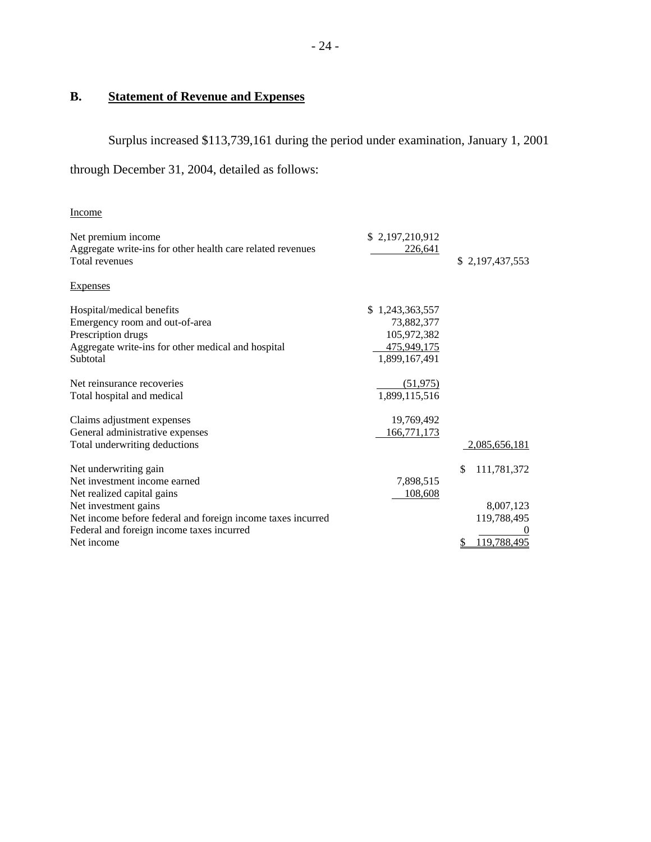# **B. Statement of Revenue and Expenses**

Surplus increased \$113,739,161 during the period under examination, January 1, 2001 through December 31, 2004, detailed as follows:

| <b>Income</b>                                                                                                                                       |                                                                                     |                                               |
|-----------------------------------------------------------------------------------------------------------------------------------------------------|-------------------------------------------------------------------------------------|-----------------------------------------------|
| Net premium income<br>Aggregate write-ins for other health care related revenues<br>Total revenues                                                  | \$2,197,210,912<br>226,641                                                          | \$2,197,437,553                               |
| <b>Expenses</b>                                                                                                                                     |                                                                                     |                                               |
| Hospital/medical benefits<br>Emergency room and out-of-area<br>Prescription drugs<br>Aggregate write-ins for other medical and hospital<br>Subtotal | \$1,243,363,557<br>73,882,377<br>105,972,382<br><u>475,949,175</u><br>1,899,167,491 |                                               |
| Net reinsurance recoveries<br>Total hospital and medical                                                                                            | (51, 975)<br>1,899,115,516                                                          |                                               |
| Claims adjustment expenses<br>General administrative expenses<br>Total underwriting deductions                                                      | 19,769,492<br>166,771,173                                                           | 2,085,656,181                                 |
| Net underwriting gain<br>Net investment income earned<br>Net realized capital gains                                                                 | 7,898,515<br>108,608                                                                | \$<br>111,781,372                             |
| Net investment gains<br>Net income before federal and foreign income taxes incurred<br>Federal and foreign income taxes incurred<br>Net income      |                                                                                     | 8,007,123<br>119,788,495<br>119,788,495<br>\$ |
|                                                                                                                                                     |                                                                                     |                                               |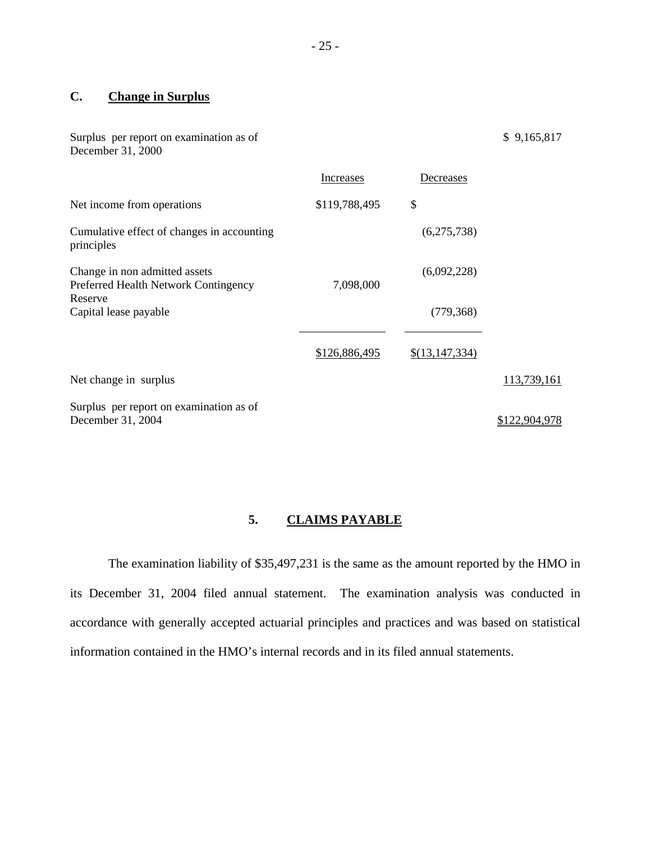# **C. Change in Surplus**

| Surplus per report on examination as of<br>December 31, 2000                     |               |                | \$9,165,817   |
|----------------------------------------------------------------------------------|---------------|----------------|---------------|
|                                                                                  | Increases     | Decreases      |               |
| Net income from operations                                                       | \$119,788,495 | \$             |               |
| Cumulative effect of changes in accounting<br>principles                         |               | (6,275,738)    |               |
| Change in non admitted assets<br>Preferred Health Network Contingency<br>Reserve | 7,098,000     | (6,092,228)    |               |
| Capital lease payable                                                            |               | (779, 368)     |               |
|                                                                                  | \$126,886,495 | \$(13,147,334) |               |
| Net change in surplus                                                            |               |                | 113,739,161   |
| Surplus per report on examination as of<br>December 31, 2004                     |               |                | \$122,904,978 |

# **5. CLAIMS PAYABLE**

The examination liability of \$35,497,231 is the same as the amount reported by the HMO in its December 31, 2004 filed annual statement. The examination analysis was conducted in accordance with generally accepted actuarial principles and practices and was based on statistical information contained in the HMO's internal records and in its filed annual statements.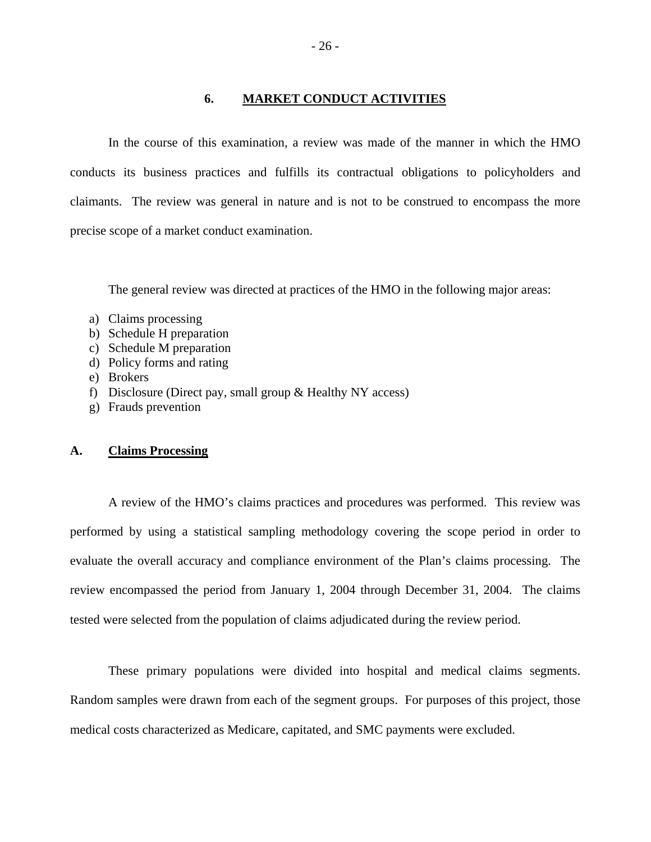#### **6. MARKET CONDUCT ACTIVITIES**

In the course of this examination, a review was made of the manner in which the HMO conducts its business practices and fulfills its contractual obligations to policyholders and claimants. The review was general in nature and is not to be construed to encompass the more precise scope of a market conduct examination.

The general review was directed at practices of the HMO in the following major areas:

- a) Claims processing
- b) Schedule H preparation
- c) Schedule M preparation
- d) Policy forms and rating
- e) Brokers
- f) Disclosure (Direct pay, small group & Healthy NY access)
- g) Frauds prevention

#### **A. Claims Processing**

A review of the HMO's claims practices and procedures was performed. This review was performed by using a statistical sampling methodology covering the scope period in order to evaluate the overall accuracy and compliance environment of the Plan's claims processing. The review encompassed the period from January 1, 2004 through December 31, 2004. The claims tested were selected from the population of claims adjudicated during the review period.

These primary populations were divided into hospital and medical claims segments. Random samples were drawn from each of the segment groups. For purposes of this project, those medical costs characterized as Medicare, capitated, and SMC payments were excluded.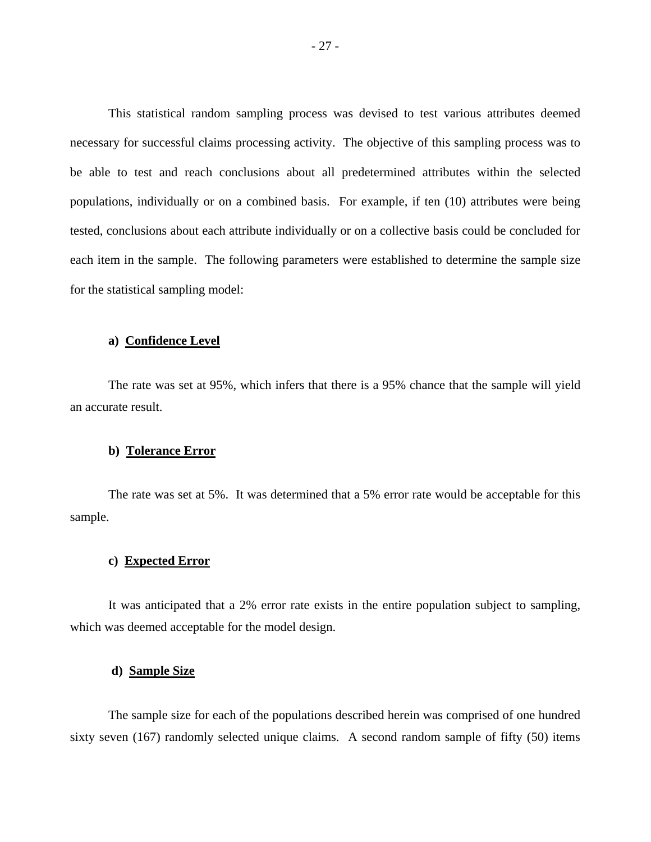This statistical random sampling process was devised to test various attributes deemed necessary for successful claims processing activity. The objective of this sampling process was to be able to test and reach conclusions about all predetermined attributes within the selected populations, individually or on a combined basis. For example, if ten (10) attributes were being tested, conclusions about each attribute individually or on a collective basis could be concluded for each item in the sample. The following parameters were established to determine the sample size for the statistical sampling model:

#### **a) Confidence Level**

The rate was set at 95%, which infers that there is a 95% chance that the sample will yield an accurate result.

#### **b) Tolerance Error**

The rate was set at 5%. It was determined that a 5% error rate would be acceptable for this sample.

#### **c) Expected Error**

It was anticipated that a 2% error rate exists in the entire population subject to sampling, which was deemed acceptable for the model design.

#### **d) Sample Size**

The sample size for each of the populations described herein was comprised of one hundred sixty seven (167) randomly selected unique claims. A second random sample of fifty (50) items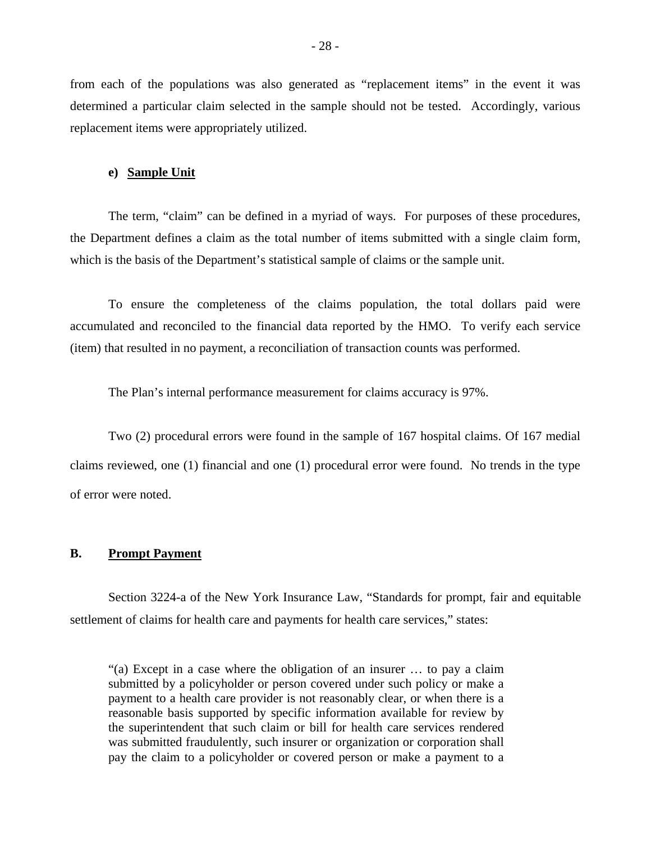from each of the populations was also generated as "replacement items" in the event it was determined a particular claim selected in the sample should not be tested. Accordingly, various replacement items were appropriately utilized.

#### **e) Sample Unit**

The term, "claim" can be defined in a myriad of ways. For purposes of these procedures, the Department defines a claim as the total number of items submitted with a single claim form, which is the basis of the Department's statistical sample of claims or the sample unit.

To ensure the completeness of the claims population, the total dollars paid were accumulated and reconciled to the financial data reported by the HMO. To verify each service (item) that resulted in no payment, a reconciliation of transaction counts was performed.

The Plan's internal performance measurement for claims accuracy is 97%.

Two (2) procedural errors were found in the sample of 167 hospital claims. Of 167 medial claims reviewed, one (1) financial and one (1) procedural error were found. No trends in the type of error were noted.

#### **B. Prompt Payment**

Section 3224-a of the New York Insurance Law, "Standards for prompt, fair and equitable settlement of claims for health care and payments for health care services," states:

"(a) Except in a case where the obligation of an insurer … to pay a claim submitted by a policyholder or person covered under such policy or make a payment to a health care provider is not reasonably clear, or when there is a reasonable basis supported by specific information available for review by the superintendent that such claim or bill for health care services rendered was submitted fraudulently, such insurer or organization or corporation shall pay the claim to a policyholder or covered person or make a payment to a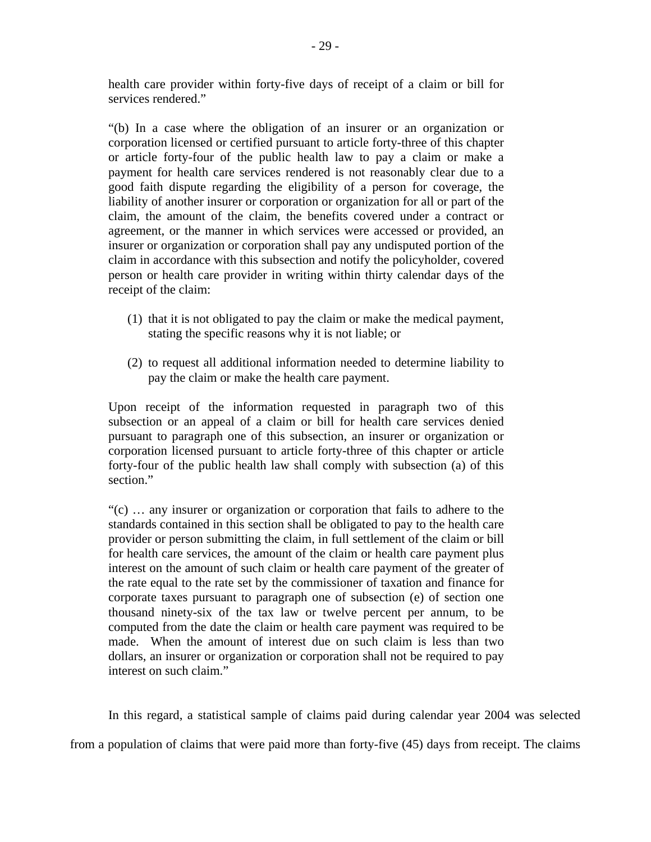health care provider within forty-five days of receipt of a claim or bill for services rendered."

"(b) In a case where the obligation of an insurer or an organization or corporation licensed or certified pursuant to article forty-three of this chapter or article forty-four of the public health law to pay a claim or make a payment for health care services rendered is not reasonably clear due to a good faith dispute regarding the eligibility of a person for coverage, the liability of another insurer or corporation or organization for all or part of the claim, the amount of the claim, the benefits covered under a contract or agreement, or the manner in which services were accessed or provided, an insurer or organization or corporation shall pay any undisputed portion of the claim in accordance with this subsection and notify the policyholder, covered person or health care provider in writing within thirty calendar days of the receipt of the claim:

- (1) that it is not obligated to pay the claim or make the medical payment, stating the specific reasons why it is not liable; or
- (2) to request all additional information needed to determine liability to pay the claim or make the health care payment.

Upon receipt of the information requested in paragraph two of this subsection or an appeal of a claim or bill for health care services denied pursuant to paragraph one of this subsection, an insurer or organization or corporation licensed pursuant to article forty-three of this chapter or article forty-four of the public health law shall comply with subsection (a) of this section."

"(c) … any insurer or organization or corporation that fails to adhere to the standards contained in this section shall be obligated to pay to the health care provider or person submitting the claim, in full settlement of the claim or bill for health care services, the amount of the claim or health care payment plus interest on the amount of such claim or health care payment of the greater of the rate equal to the rate set by the commissioner of taxation and finance for corporate taxes pursuant to paragraph one of subsection (e) of section one thousand ninety-six of the tax law or twelve percent per annum, to be computed from the date the claim or health care payment was required to be made. When the amount of interest due on such claim is less than two dollars, an insurer or organization or corporation shall not be required to pay interest on such claim."

In this regard, a statistical sample of claims paid during calendar year 2004 was selected from a population of claims that were paid more than forty-five (45) days from receipt. The claims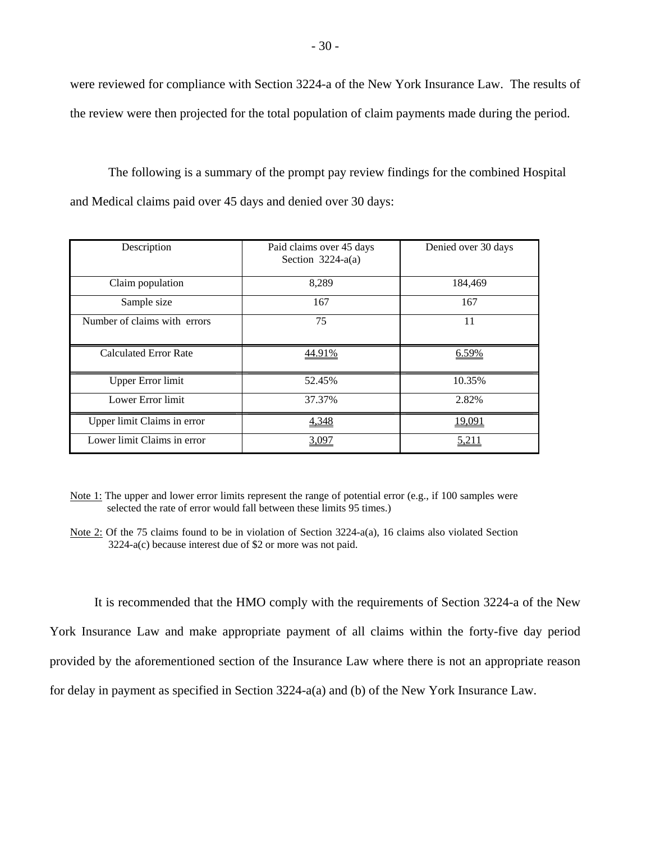were reviewed for compliance with Section 3224-a of the New York Insurance Law. The results of the review were then projected for the total population of claim payments made during the period.

The following is a summary of the prompt pay review findings for the combined Hospital and Medical claims paid over 45 days and denied over 30 days:

| Description                  | Paid claims over 45 days<br>Section $3224-a(a)$ | Denied over 30 days |
|------------------------------|-------------------------------------------------|---------------------|
| Claim population             | 8,289                                           | 184,469             |
| Sample size                  | 167                                             | 167                 |
| Number of claims with errors | 75                                              | 11                  |
| <b>Calculated Error Rate</b> | 44.91%                                          | 6.59%               |
| <b>Upper Error limit</b>     | 52.45%                                          | 10.35%              |
| Lower Error limit            | 37.37%                                          | 2.82%               |
| Upper limit Claims in error  | 4,348                                           | 19,091              |
| Lower limit Claims in error  | 3.097                                           | 5.21                |

 selected the rate of error would fall between these limits 95 times.) Note 1: The upper and lower error limits represent the range of potential error (e.g., if 100 samples were

It is recommended that the HMO comply with the requirements of Section 3224-a of the New York Insurance Law and make appropriate payment of all claims within the forty-five day period provided by the aforementioned section of the Insurance Law where there is not an appropriate reason for delay in payment as specified in Section 3224-a(a) and (b) of the New York Insurance Law.

 3224-a(c) because interest due of \$2 or more was not paid. Note 2: Of the 75 claims found to be in violation of Section 3224-a(a), 16 claims also violated Section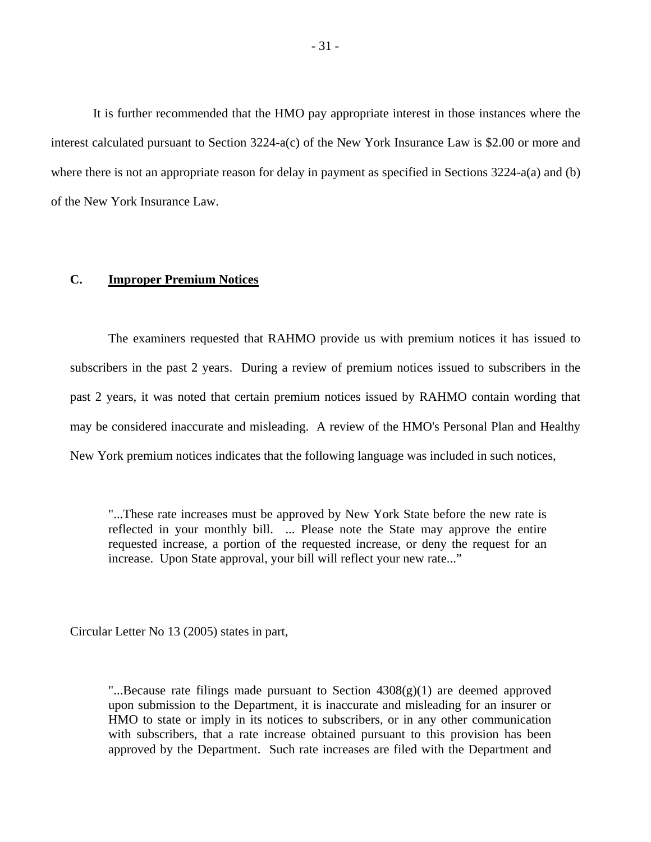It is further recommended that the HMO pay appropriate interest in those instances where the interest calculated pursuant to Section 3224-a(c) of the New York Insurance Law is \$2.00 or more and where there is not an appropriate reason for delay in payment as specified in Sections 3224-a(a) and (b) of the New York Insurance Law.

#### **C. Improper Premium Notices**

The examiners requested that RAHMO provide us with premium notices it has issued to subscribers in the past 2 years. During a review of premium notices issued to subscribers in the past 2 years, it was noted that certain premium notices issued by RAHMO contain wording that may be considered inaccurate and misleading. A review of the HMO's Personal Plan and Healthy New York premium notices indicates that the following language was included in such notices,

"...These rate increases must be approved by New York State before the new rate is reflected in your monthly bill. ... Please note the State may approve the entire requested increase, a portion of the requested increase, or deny the request for an increase. Upon State approval, your bill will reflect your new rate..."

Circular Letter No 13 (2005) states in part,

"...Because rate filings made pursuant to Section  $4308(g)(1)$  are deemed approved upon submission to the Department, it is inaccurate and misleading for an insurer or HMO to state or imply in its notices to subscribers, or in any other communication with subscribers, that a rate increase obtained pursuant to this provision has been approved by the Department. Such rate increases are filed with the Department and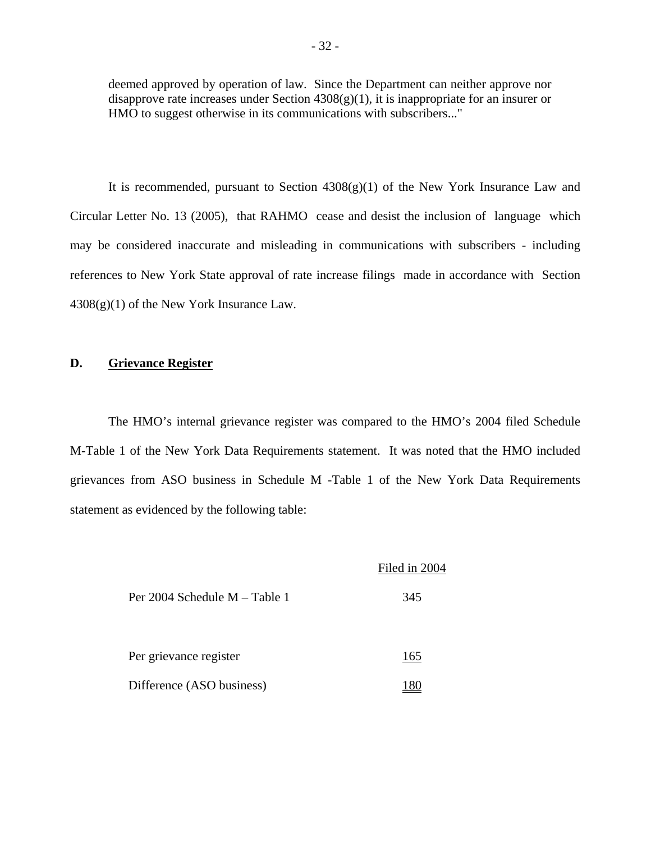deemed approved by operation of law. Since the Department can neither approve nor disapprove rate increases under Section  $4308(g)(1)$ , it is inappropriate for an insurer or HMO to suggest otherwise in its communications with subscribers..."

It is recommended, pursuant to Section  $4308(g)(1)$  of the New York Insurance Law and Circular Letter No. 13 (2005), that RAHMO cease and desist the inclusion of language which may be considered inaccurate and misleading in communications with subscribers - including references to New York State approval of rate increase filings made in accordance with Section  $4308(g)(1)$  of the New York Insurance Law.

#### **D. Grievance Register**

The HMO's internal grievance register was compared to the HMO's 2004 filed Schedule M-Table 1 of the New York Data Requirements statement. It was noted that the HMO included grievances from ASO business in Schedule M -Table 1 of the New York Data Requirements statement as evidenced by the following table:

|                               | Filed in 2004 |
|-------------------------------|---------------|
| Per 2004 Schedule M – Table 1 | 345           |
| Per grievance register        | 165           |
| Difference (ASO business)     |               |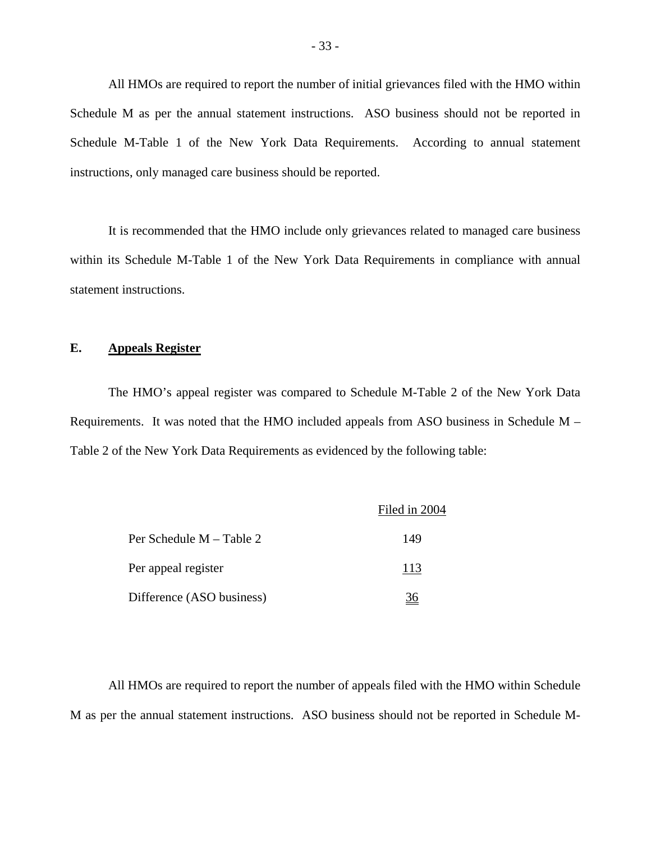All HMOs are required to report the number of initial grievances filed with the HMO within Schedule M as per the annual statement instructions. ASO business should not be reported in Schedule M-Table 1 of the New York Data Requirements. According to annual statement instructions, only managed care business should be reported.

It is recommended that the HMO include only grievances related to managed care business within its Schedule M-Table 1 of the New York Data Requirements in compliance with annual statement instructions.

### **E. Appeals Register**

The HMO's appeal register was compared to Schedule M-Table 2 of the New York Data Requirements. It was noted that the HMO included appeals from ASO business in Schedule M – Table 2 of the New York Data Requirements as evidenced by the following table:

|                           | Filed in 2004 |
|---------------------------|---------------|
| Per Schedule M – Table 2  | 149           |
| Per appeal register       | 113           |
| Difference (ASO business) |               |

All HMOs are required to report the number of appeals filed with the HMO within Schedule M as per the annual statement instructions. ASO business should not be reported in Schedule M-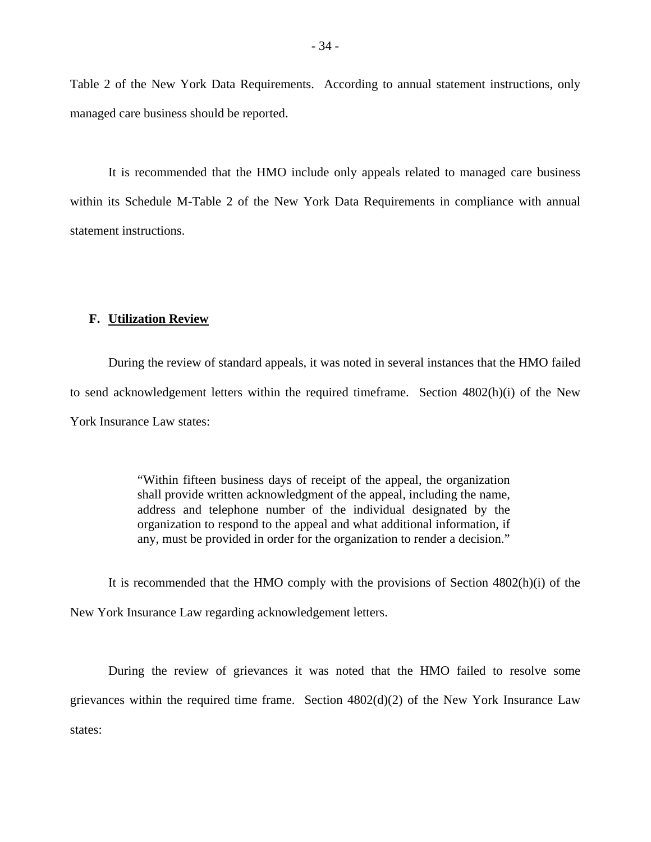Table 2 of the New York Data Requirements. According to annual statement instructions, only managed care business should be reported.

It is recommended that the HMO include only appeals related to managed care business within its Schedule M-Table 2 of the New York Data Requirements in compliance with annual statement instructions.

#### **F. Utilization Review**

During the review of standard appeals, it was noted in several instances that the HMO failed to send acknowledgement letters within the required timeframe. Section 4802(h)(i) of the New York Insurance Law states:

> "Within fifteen business days of receipt of the appeal, the organization shall provide written acknowledgment of the appeal, including the name, address and telephone number of the individual designated by the organization to respond to the appeal and what additional information, if any, must be provided in order for the organization to render a decision."

It is recommended that the HMO comply with the provisions of Section 4802(h)(i) of the New York Insurance Law regarding acknowledgement letters.

During the review of grievances it was noted that the HMO failed to resolve some grievances within the required time frame. Section 4802(d)(2) of the New York Insurance Law states: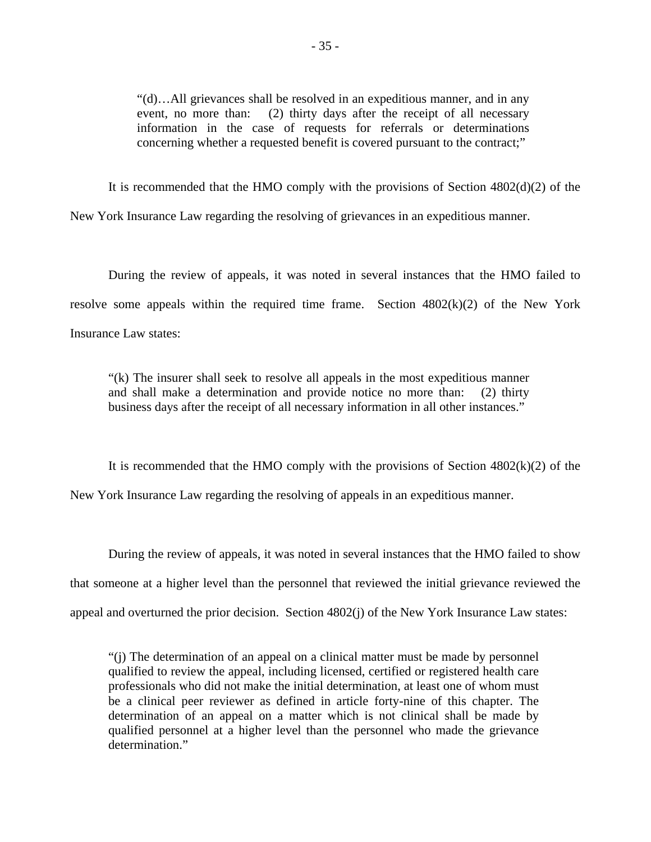"(d)…All grievances shall be resolved in an expeditious manner, and in any event, no more than: (2) thirty days after the receipt of all necessary information in the case of requests for referrals or determinations concerning whether a requested benefit is covered pursuant to the contract;"

It is recommended that the HMO comply with the provisions of Section 4802(d)(2) of the New York Insurance Law regarding the resolving of grievances in an expeditious manner.

During the review of appeals, it was noted in several instances that the HMO failed to resolve some appeals within the required time frame. Section  $4802(k)(2)$  of the New York Insurance Law states:

"(k) The insurer shall seek to resolve all appeals in the most expeditious manner and shall make a determination and provide notice no more than: (2) thirty business days after the receipt of all necessary information in all other instances."

It is recommended that the HMO comply with the provisions of Section  $4802(k)(2)$  of the New York Insurance Law regarding the resolving of appeals in an expeditious manner.

During the review of appeals, it was noted in several instances that the HMO failed to show that someone at a higher level than the personnel that reviewed the initial grievance reviewed the appeal and overturned the prior decision. Section 4802(j) of the New York Insurance Law states:

"(j) The determination of an appeal on a clinical matter must be made by personnel qualified to review the appeal, including licensed, certified or registered health care professionals who did not make the initial determination, at least one of whom must be a clinical peer reviewer as defined in article forty-nine of this chapter. The determination of an appeal on a matter which is not clinical shall be made by qualified personnel at a higher level than the personnel who made the grievance determination."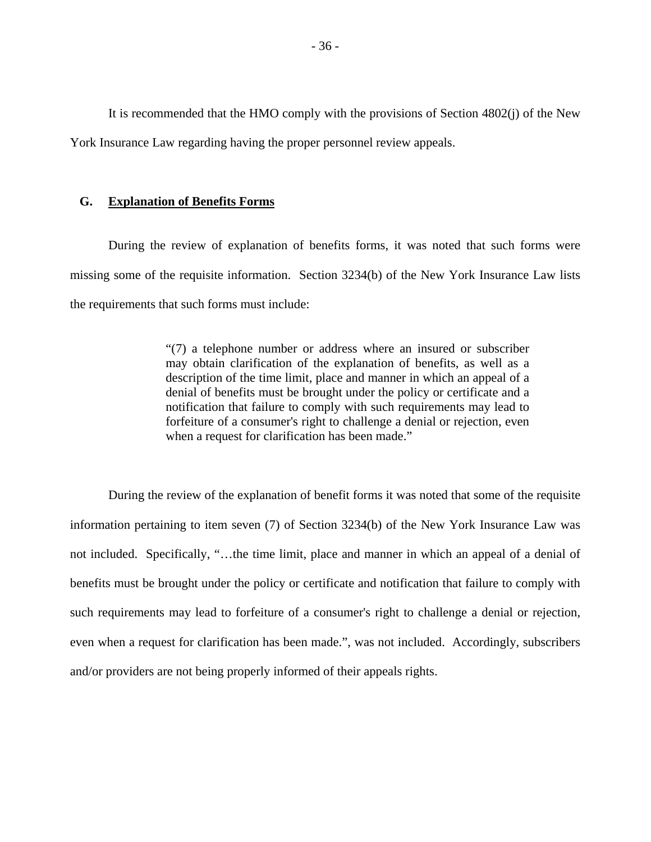It is recommended that the HMO comply with the provisions of Section 4802(j) of the New York Insurance Law regarding having the proper personnel review appeals.

#### **G. Explanation of Benefits Forms**

During the review of explanation of benefits forms, it was noted that such forms were missing some of the requisite information. Section 3234(b) of the New York Insurance Law lists the requirements that such forms must include:

> "(7) a telephone number or address where an insured or subscriber may obtain clarification of the explanation of benefits, as well as a description of the time limit, place and manner in which an appeal of a denial of benefits must be brought under the policy or certificate and a notification that failure to comply with such requirements may lead to forfeiture of a consumer's right to challenge a denial or rejection, even when a request for clarification has been made."

During the review of the explanation of benefit forms it was noted that some of the requisite information pertaining to item seven (7) of Section 3234(b) of the New York Insurance Law was not included. Specifically, "…the time limit, place and manner in which an appeal of a denial of benefits must be brought under the policy or certificate and notification that failure to comply with such requirements may lead to forfeiture of a consumer's right to challenge a denial or rejection, even when a request for clarification has been made.", was not included. Accordingly, subscribers and/or providers are not being properly informed of their appeals rights.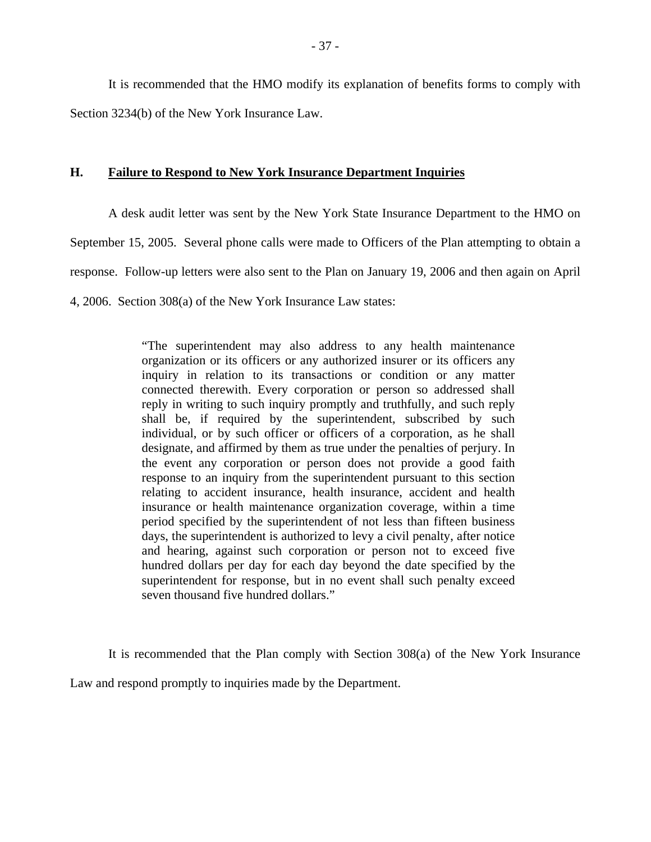It is recommended that the HMO modify its explanation of benefits forms to comply with Section 3234(b) of the New York Insurance Law.

#### **H. Failure to Respond to New York Insurance Department Inquiries**

A desk audit letter was sent by the New York State Insurance Department to the HMO on September 15, 2005. Several phone calls were made to Officers of the Plan attempting to obtain a response. Follow-up letters were also sent to the Plan on January 19, 2006 and then again on April 4, 2006. Section 308(a) of the New York Insurance Law states:

> "The superintendent may also address to any health maintenance organization or its officers or any authorized insurer or its officers any inquiry in relation to its transactions or condition or any matter connected therewith. Every corporation or person so addressed shall reply in writing to such inquiry promptly and truthfully, and such reply shall be, if required by the superintendent, subscribed by such individual, or by such officer or officers of a corporation, as he shall designate, and affirmed by them as true under the penalties of perjury. In the event any corporation or person does not provide a good faith response to an inquiry from the superintendent pursuant to this section relating to accident insurance, health insurance, accident and health insurance or health maintenance organization coverage, within a time period specified by the superintendent of not less than fifteen business days, the superintendent is authorized to levy a civil penalty, after notice and hearing, against such corporation or person not to exceed five hundred dollars per day for each day beyond the date specified by the superintendent for response, but in no event shall such penalty exceed seven thousand five hundred dollars."

It is recommended that the Plan comply with Section 308(a) of the New York Insurance

Law and respond promptly to inquiries made by the Department.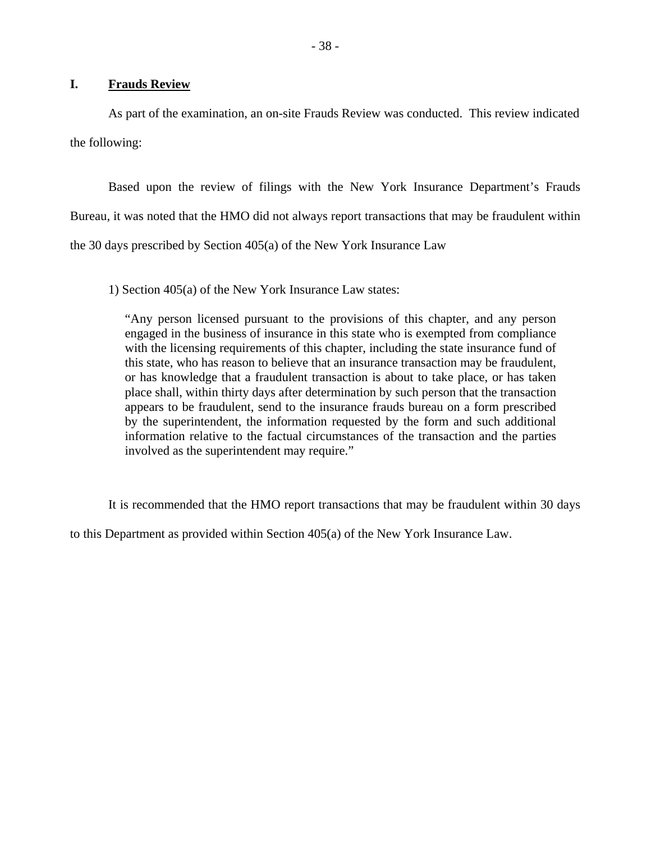#### **I. Frauds Review**

As part of the examination, an on-site Frauds Review was conducted. This review indicated the following:

Based upon the review of filings with the New York Insurance Department's Frauds Bureau, it was noted that the HMO did not always report transactions that may be fraudulent within the 30 days prescribed by Section 405(a) of the New York Insurance Law

1) Section 405(a) of the New York Insurance Law states:

"Any person licensed pursuant to the provisions of this chapter, and any person engaged in the business of insurance in this state who is exempted from compliance with the licensing requirements of this chapter, including the state insurance fund of this state, who has reason to believe that an insurance transaction may be fraudulent, or has knowledge that a fraudulent transaction is about to take place, or has taken place shall, within thirty days after determination by such person that the transaction appears to be fraudulent, send to the insurance frauds bureau on a form prescribed by the superintendent, the information requested by the form and such additional information relative to the factual circumstances of the transaction and the parties involved as the superintendent may require."

It is recommended that the HMO report transactions that may be fraudulent within 30 days

to this Department as provided within Section 405(a) of the New York Insurance Law.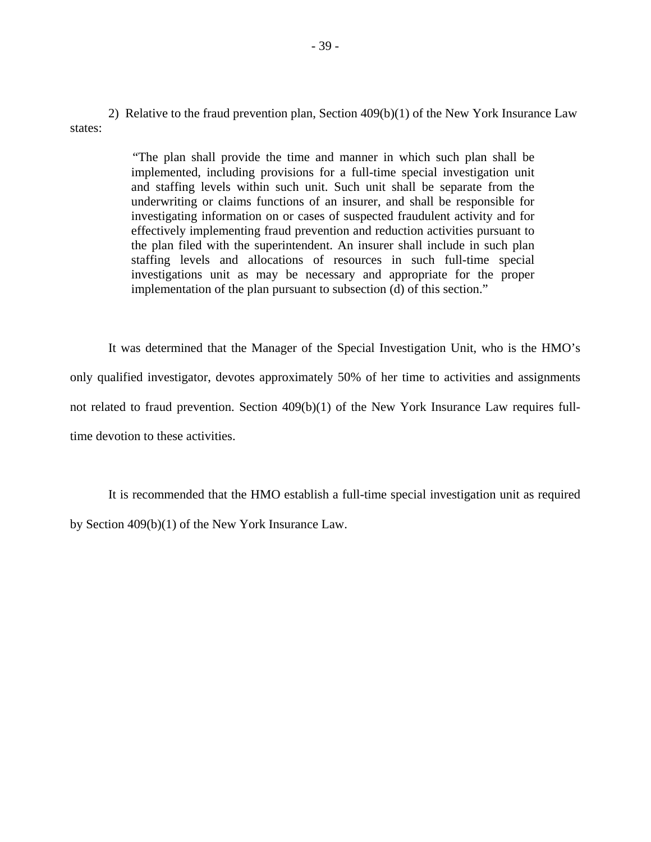2) Relative to the fraud prevention plan, Section 409(b)(1) of the New York Insurance Law states:

> "The plan shall provide the time and manner in which such plan shall be implemented, including provisions for a full-time special investigation unit and staffing levels within such unit. Such unit shall be separate from the underwriting or claims functions of an insurer, and shall be responsible for investigating information on or cases of suspected fraudulent activity and for effectively implementing fraud prevention and reduction activities pursuant to the plan filed with the superintendent. An insurer shall include in such plan staffing levels and allocations of resources in such full-time special investigations unit as may be necessary and appropriate for the proper implementation of the plan pursuant to subsection (d) of this section."

It was determined that the Manager of the Special Investigation Unit, who is the HMO's only qualified investigator, devotes approximately 50% of her time to activities and assignments not related to fraud prevention. Section 409(b)(1) of the New York Insurance Law requires fulltime devotion to these activities.

It is recommended that the HMO establish a full-time special investigation unit as required by Section 409(b)(1) of the New York Insurance Law.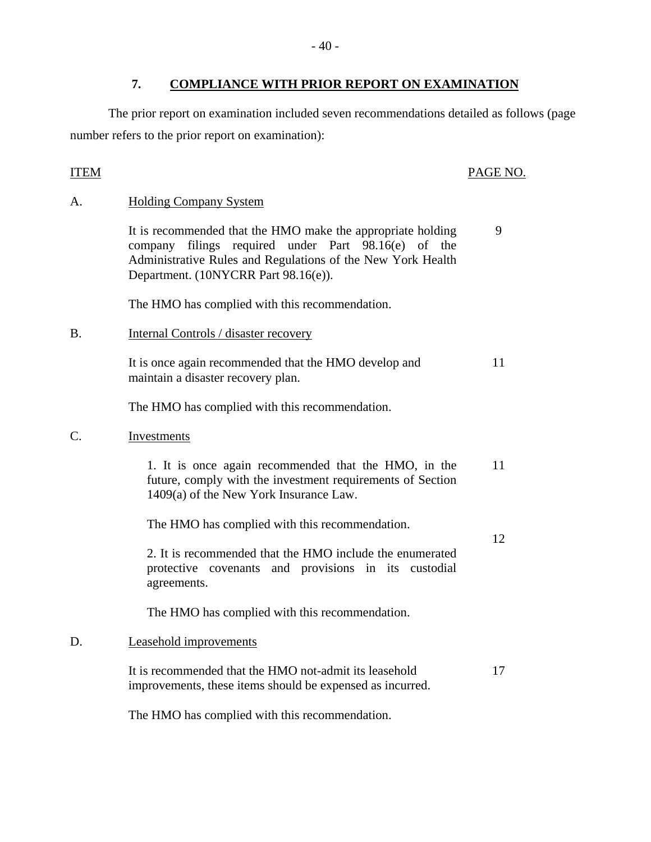The prior report on examination included seven recommendations detailed as follows (page number refers to the prior report on examination):

# **ITEM**

# PAGE NO.

9

12

# A. Holding Company System

It is recommended that the HMO make the appropriate holding company filings required under Part 98.16(e) of the Administrative Rules and Regulations of the New York Health Department. (10NYCRR Part 98.16(e)).

The HMO has complied with this recommendation.

B. Internal Controls / disaster recovery

It is once again recommended that the HMO develop and maintain a disaster recovery plan. 11

The HMO has complied with this recommendation.

C. Investments

1. It is once again recommended that the HMO, in the future, comply with the investment requirements of Section 1409(a) of the New York Insurance Law. 11

The HMO has complied with this recommendation.

2. It is recommended that the HMO include the enumerated protective covenants and provisions in its custodial agreements.

The HMO has complied with this recommendation.

# D. Leasehold improvements

It is recommended that the HMO not-admit its leasehold improvements, these items should be expensed as incurred. 17

The HMO has complied with this recommendation.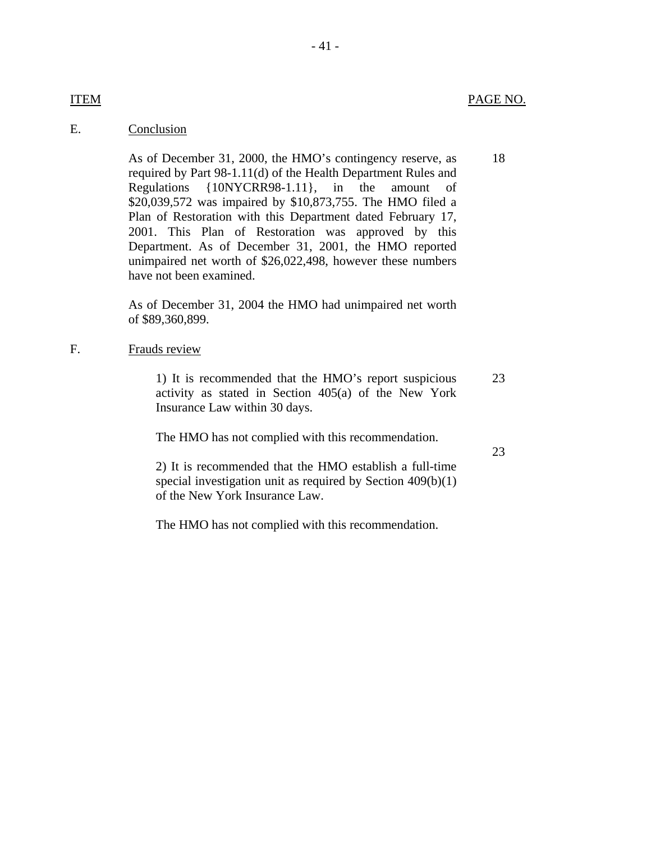18

# E. Conclusion

As of December 31, 2000, the HMO's contingency reserve, as required by Part 98-1.11(d) of the Health Department Rules and Regulations {10NYCRR98-1.11}, in the amount of \$20,039,572 was impaired by \$10,873,755. The HMO filed a Plan of Restoration with this Department dated February 17, 2001. This Plan of Restoration was approved by this Department. As of December 31, 2001, the HMO reported unimpaired net worth of \$26,022,498, however these numbers have not been examined.

As of December 31, 2004 the HMO had unimpaired net worth of \$89,360,899.

#### F. Frauds review

1) It is recommended that the HMO's report suspicious activity as stated in Section 405(a) of the New York Insurance Law within 30 days. 23

The HMO has not complied with this recommendation.

23

2) It is recommended that the HMO establish a full-time special investigation unit as required by Section 409(b)(1) of the New York Insurance Law.

The HMO has not complied with this recommendation.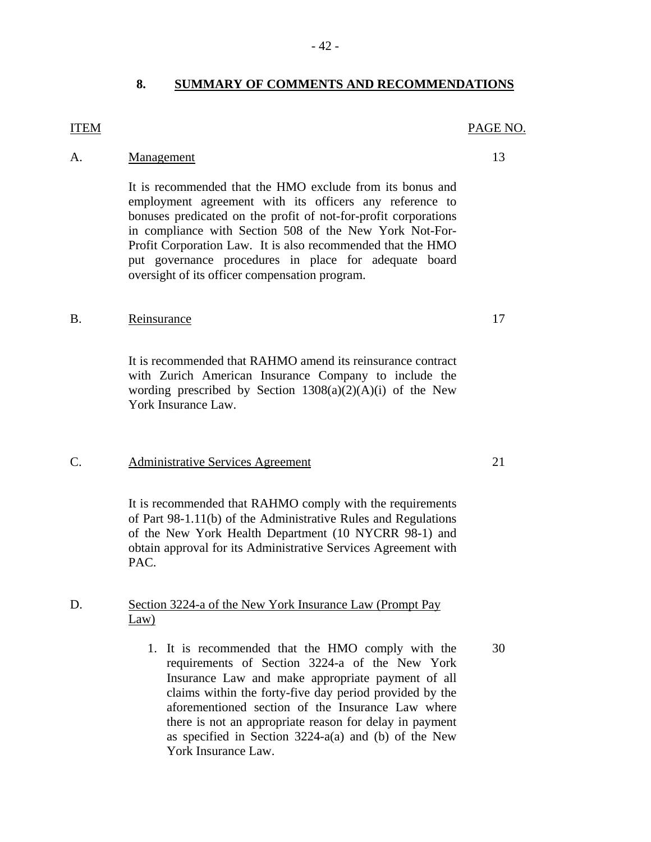#### **8. SUMMARY OF COMMENTS AND RECOMMENDATIONS**

#### **ITEM**

### A. Management 13

It is recommended that the HMO exclude from its bonus and employment agreement with its officers any reference to bonuses predicated on the profit of not-for-profit corporations in compliance with Section 508 of the New York Not-For-Profit Corporation Law. It is also recommended that the HMO put governance procedures in place for adequate board oversight of its officer compensation program.

#### B. Reinsurance 17

It is recommended that RAHMO amend its reinsurance contract with Zurich American Insurance Company to include the wording prescribed by Section  $1308(a)(2)(A)(i)$  of the New York Insurance Law.

#### C. Administrative Services Agreement 21

It is recommended that RAHMO comply with the requirements of Part 98-1.11(b) of the Administrative Rules and Regulations of the New York Health Department (10 NYCRR 98-1) and obtain approval for its Administrative Services Agreement with PAC.

#### D. Section 3224-a of the New York Insurance Law (Prompt Pay Law)

1. It is recommended that the HMO comply with the 30 requirements of Section 3224-a of the New York Insurance Law and make appropriate payment of all claims within the forty-five day period provided by the aforementioned section of the Insurance Law where there is not an appropriate reason for delay in payment as specified in Section 3224-a(a) and (b) of the New York Insurance Law.

PAGE NO.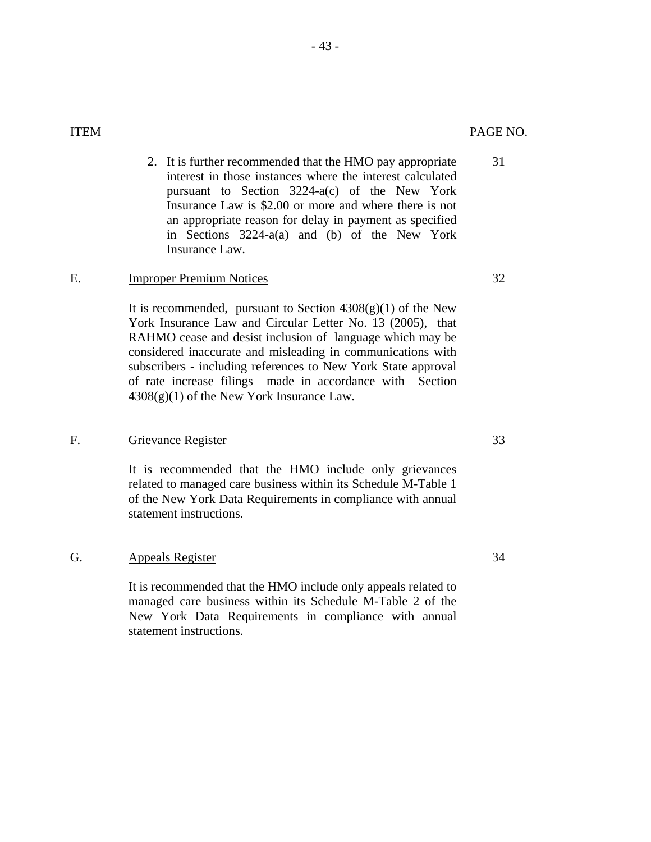31

 2. It is further recommended that the HMO pay appropriate interest in those instances where the interest calculated pursuant to Section 3224-a(c) of the New York Insurance Law is \$2.00 or more and where there is not an appropriate reason for delay in payment as specified in Sections 3224-a(a) and (b) of the New York Insurance Law.

#### E. Improper Premium Notices 32

It is recommended, pursuant to Section  $4308(g)(1)$  of the New York Insurance Law and Circular Letter No. 13 (2005), that RAHMO cease and desist inclusion of language which may be considered inaccurate and misleading in communications with subscribers - including references to New York State approval of rate increase filings made in accordance with Section  $4308(g)(1)$  of the New York Insurance Law.

#### F. Grievance Register 33

It is recommended that the HMO include only grievances related to managed care business within its Schedule M-Table 1 of the New York Data Requirements in compliance with annual statement instructions.

#### G. Appeals Register 34

It is recommended that the HMO include only appeals related to managed care business within its Schedule M-Table 2 of the New York Data Requirements in compliance with annual statement instructions.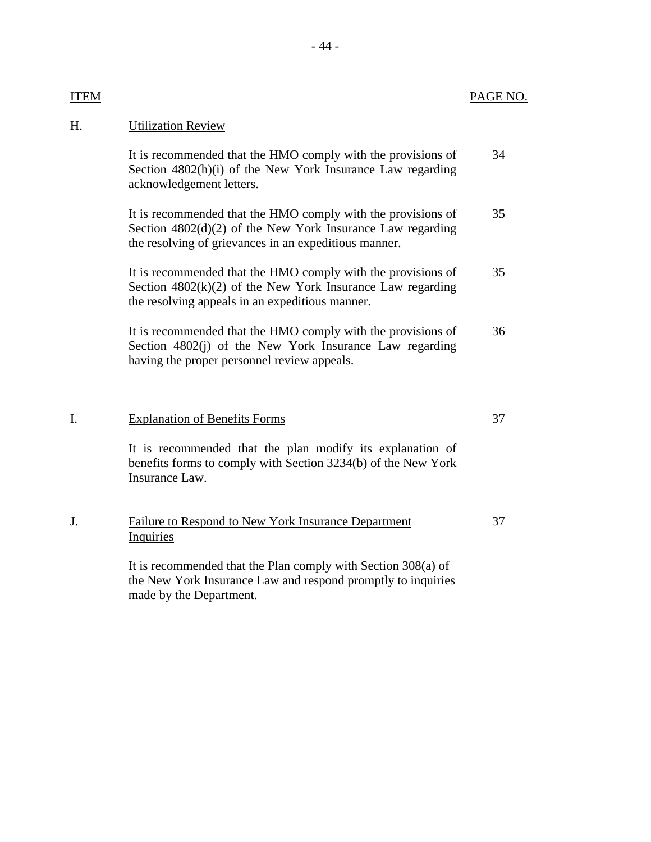# H. Utilization Review

| It is recommended that the HMO comply with the provisions of | 34 |
|--------------------------------------------------------------|----|
| Section 4802(h)(i) of the New York Insurance Law regarding   |    |
| acknowledgement letters.                                     |    |

It is recommended that the HMO comply with the provisions of Section 4802(d)(2) of the New York Insurance Law regarding the resolving of grievances in an expeditious manner. 35

It is recommended that the HMO comply with the provisions of Section  $4802(k)(2)$  of the New York Insurance Law regarding the resolving appeals in an expeditious manner. 35

It is recommended that the HMO comply with the provisions of Section 4802(j) of the New York Insurance Law regarding having the proper personnel review appeals. 36

#### I. Explanation of Benefits Forms 37

It is recommended that the plan modify its explanation of benefits forms to comply with Section 3234(b) of the New York Insurance Law.

| J. | Failure to Respond to New York Insurance Department |  |
|----|-----------------------------------------------------|--|
|    | Inquiries                                           |  |

It is recommended that the Plan comply with Section 308(a) of the New York Insurance Law and respond promptly to inquiries made by the Department.

#### - 44 -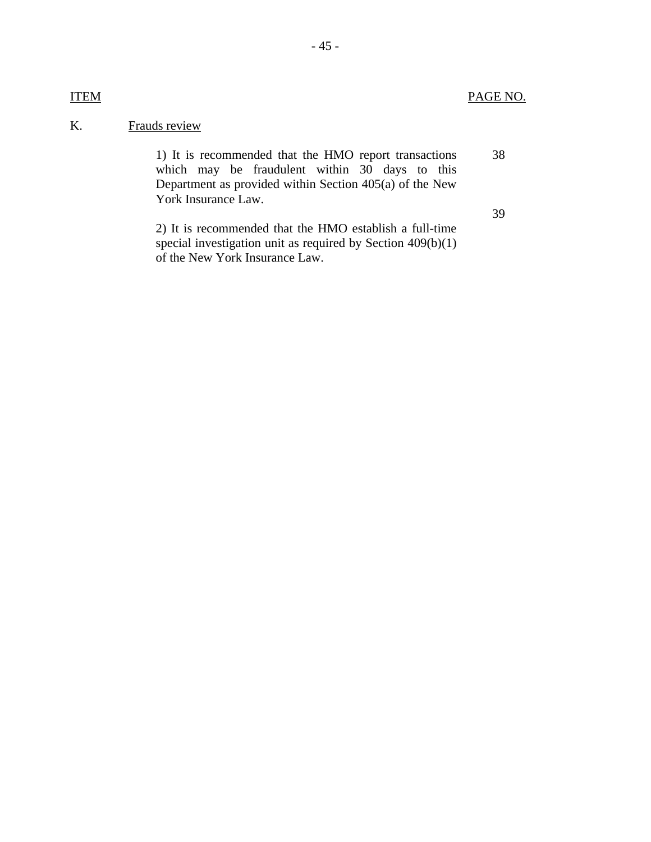# K. Frauds review

1) It is recommended that the HMO report transactions which may be fraudulent within 30 days to this Department as provided within Section 405(a) of the New York Insurance Law. 38 39

2) It is recommended that the HMO establish a full-time special investigation unit as required by Section 409(b)(1) of the New York Insurance Law.

# **ITEM**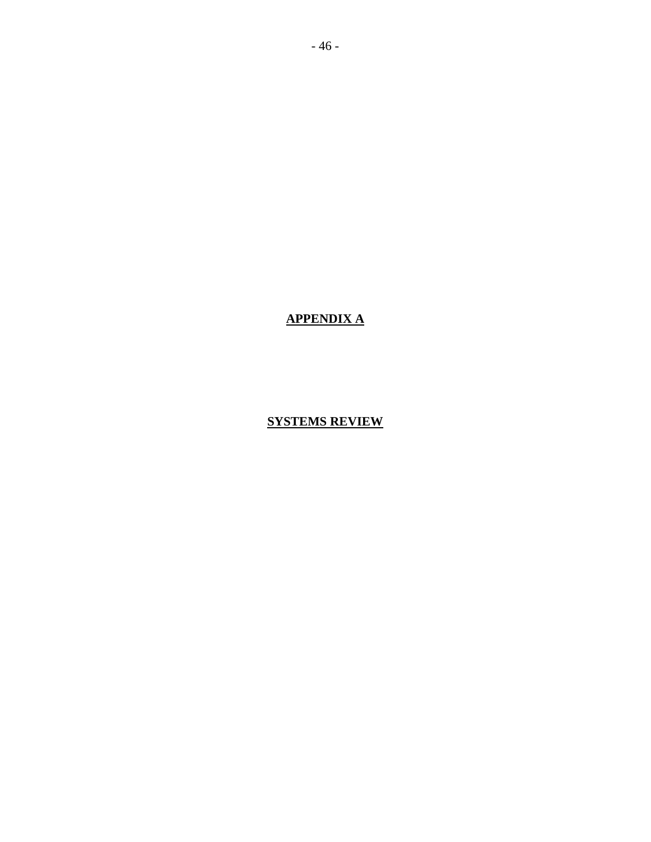**APPENDIX A** 

**SYSTEMS REVIEW**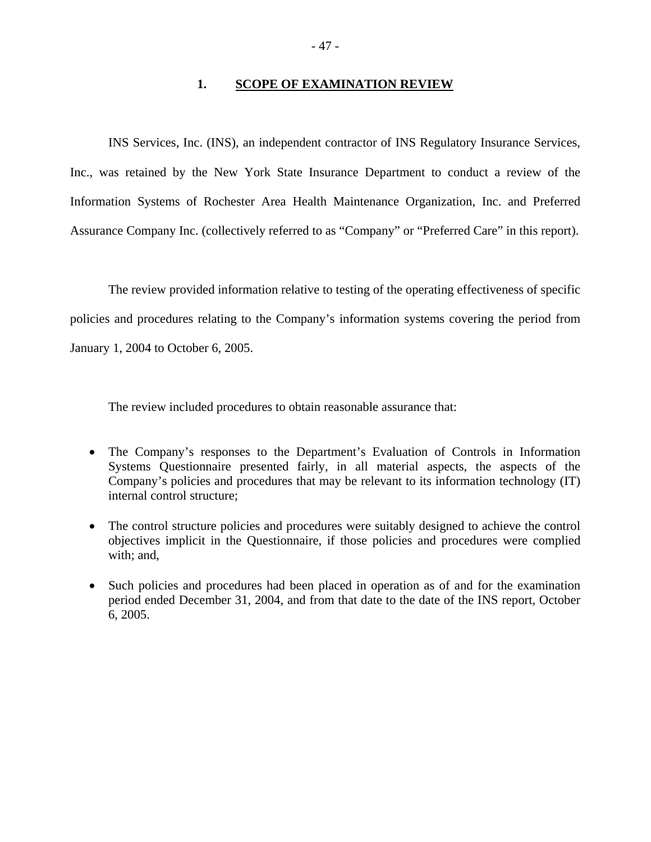#### **1. SCOPE OF EXAMINATION REVIEW**

INS Services, Inc. (INS), an independent contractor of INS Regulatory Insurance Services, Inc., was retained by the New York State Insurance Department to conduct a review of the Information Systems of Rochester Area Health Maintenance Organization, Inc. and Preferred Assurance Company Inc. (collectively referred to as "Company" or "Preferred Care" in this report).

The review provided information relative to testing of the operating effectiveness of specific policies and procedures relating to the Company's information systems covering the period from January 1, 2004 to October 6, 2005.

The review included procedures to obtain reasonable assurance that:

- The Company's responses to the Department's Evaluation of Controls in Information Systems Questionnaire presented fairly, in all material aspects, the aspects of the Company's policies and procedures that may be relevant to its information technology (IT) internal control structure;
- The control structure policies and procedures were suitably designed to achieve the control objectives implicit in the Questionnaire, if those policies and procedures were complied with; and,
- Such policies and procedures had been placed in operation as of and for the examination period ended December 31, 2004, and from that date to the date of the INS report, October 6, 2005.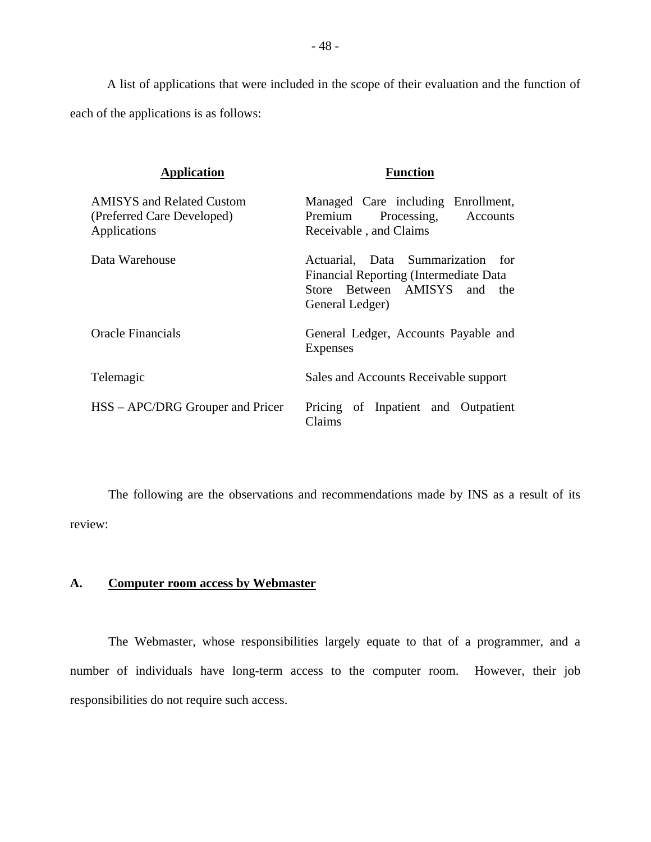A list of applications that were included in the scope of their evaluation and the function of each of the applications is as follows:

| <b>Application</b>                                                             | <b>Function</b>                                                                                                                   |
|--------------------------------------------------------------------------------|-----------------------------------------------------------------------------------------------------------------------------------|
| <b>AMISYS</b> and Related Custom<br>(Preferred Care Developed)<br>Applications | Managed Care including Enrollment,<br>Processing, Accounts<br>Premium<br>Receivable, and Claims                                   |
| Data Warehouse                                                                 | Actuarial, Data Summarization for<br>Financial Reporting (Intermediate Data<br>Store Between AMISYS<br>and the<br>General Ledger) |
| Oracle Financials                                                              | General Ledger, Accounts Payable and<br>Expenses                                                                                  |
| Telemagic                                                                      | Sales and Accounts Receivable support                                                                                             |
| HSS – APC/DRG Grouper and Pricer                                               | Pricing of Inpatient and Outpatient<br>Claims                                                                                     |

The following are the observations and recommendations made by INS as a result of its review:

# **A. Computer room access by Webmaster**

The Webmaster, whose responsibilities largely equate to that of a programmer, and a number of individuals have long-term access to the computer room. However, their job responsibilities do not require such access.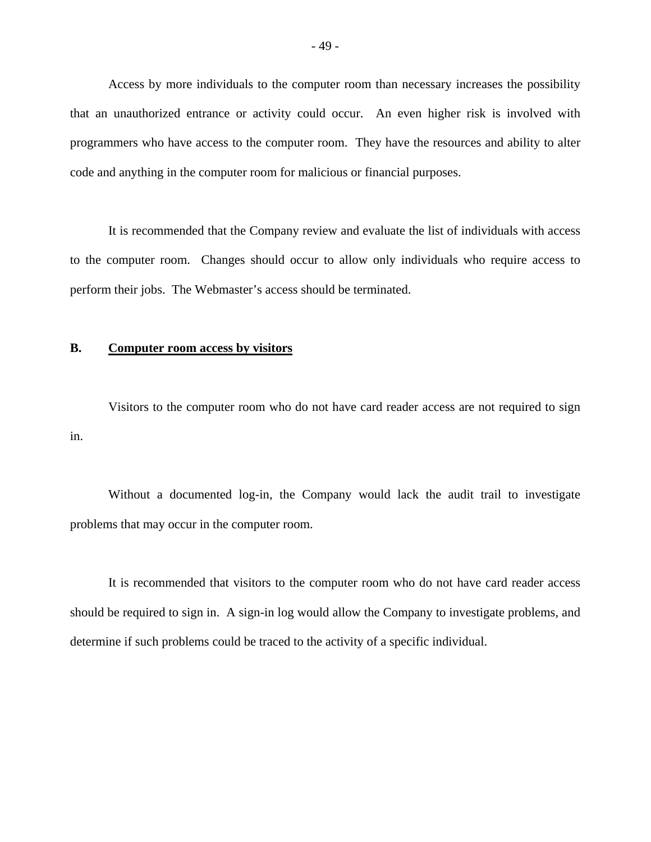Access by more individuals to the computer room than necessary increases the possibility that an unauthorized entrance or activity could occur. An even higher risk is involved with programmers who have access to the computer room. They have the resources and ability to alter code and anything in the computer room for malicious or financial purposes.

It is recommended that the Company review and evaluate the list of individuals with access to the computer room. Changes should occur to allow only individuals who require access to perform their jobs. The Webmaster's access should be terminated.

#### **B. Computer room access by visitors**

Visitors to the computer room who do not have card reader access are not required to sign in.

Without a documented log-in, the Company would lack the audit trail to investigate problems that may occur in the computer room.

It is recommended that visitors to the computer room who do not have card reader access should be required to sign in. A sign-in log would allow the Company to investigate problems, and determine if such problems could be traced to the activity of a specific individual.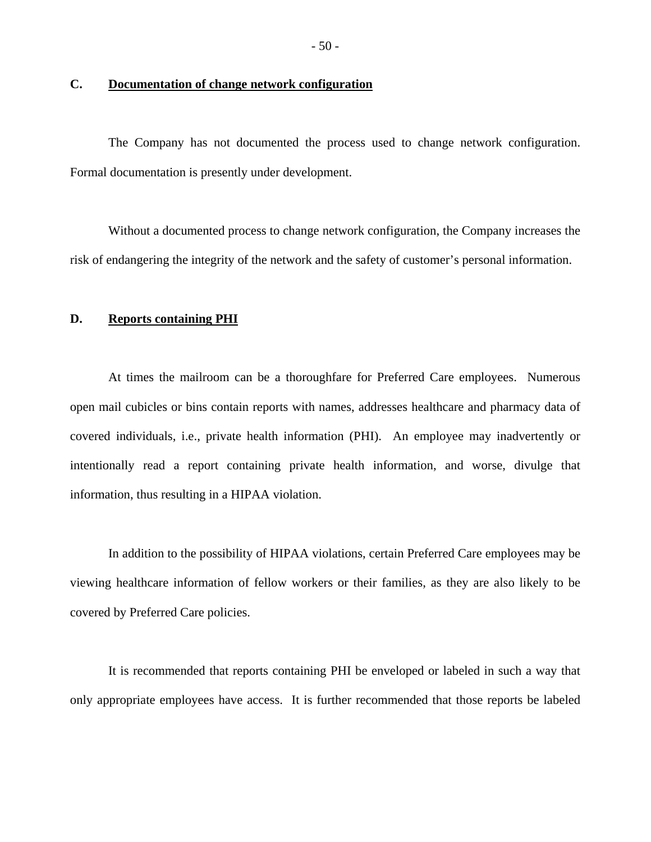#### **C. Documentation of change network configuration**

The Company has not documented the process used to change network configuration. Formal documentation is presently under development.

Without a documented process to change network configuration, the Company increases the risk of endangering the integrity of the network and the safety of customer's personal information.

#### **D. Reports containing PHI**

At times the mailroom can be a thoroughfare for Preferred Care employees. Numerous open mail cubicles or bins contain reports with names, addresses healthcare and pharmacy data of covered individuals, i.e., private health information (PHI). An employee may inadvertently or intentionally read a report containing private health information, and worse, divulge that information, thus resulting in a HIPAA violation.

In addition to the possibility of HIPAA violations, certain Preferred Care employees may be viewing healthcare information of fellow workers or their families, as they are also likely to be covered by Preferred Care policies.

It is recommended that reports containing PHI be enveloped or labeled in such a way that only appropriate employees have access. It is further recommended that those reports be labeled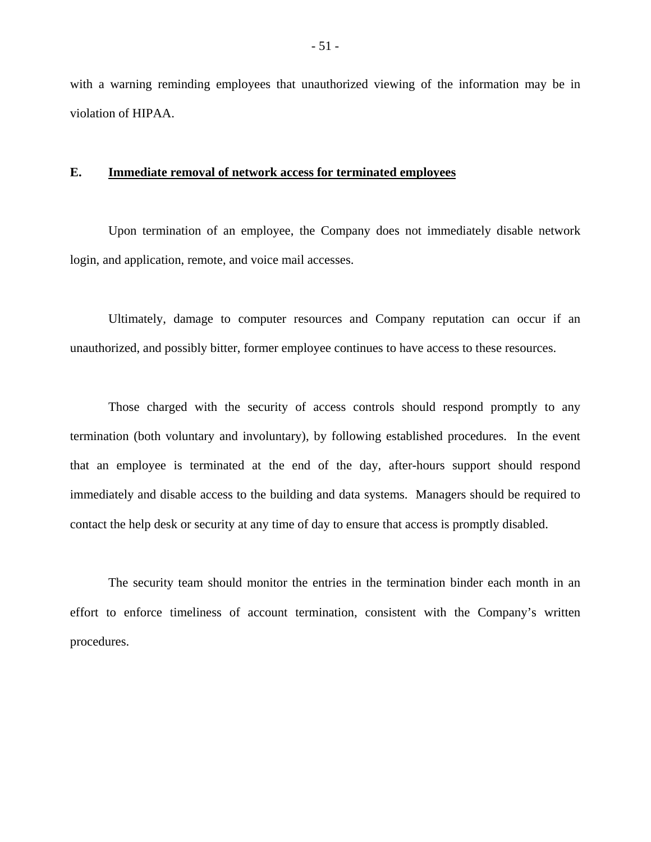with a warning reminding employees that unauthorized viewing of the information may be in violation of HIPAA.

#### **E. Immediate removal of network access for terminated employees**

Upon termination of an employee, the Company does not immediately disable network login, and application, remote, and voice mail accesses.

Ultimately, damage to computer resources and Company reputation can occur if an unauthorized, and possibly bitter, former employee continues to have access to these resources.

Those charged with the security of access controls should respond promptly to any termination (both voluntary and involuntary), by following established procedures. In the event that an employee is terminated at the end of the day, after-hours support should respond immediately and disable access to the building and data systems. Managers should be required to contact the help desk or security at any time of day to ensure that access is promptly disabled.

The security team should monitor the entries in the termination binder each month in an effort to enforce timeliness of account termination, consistent with the Company's written procedures.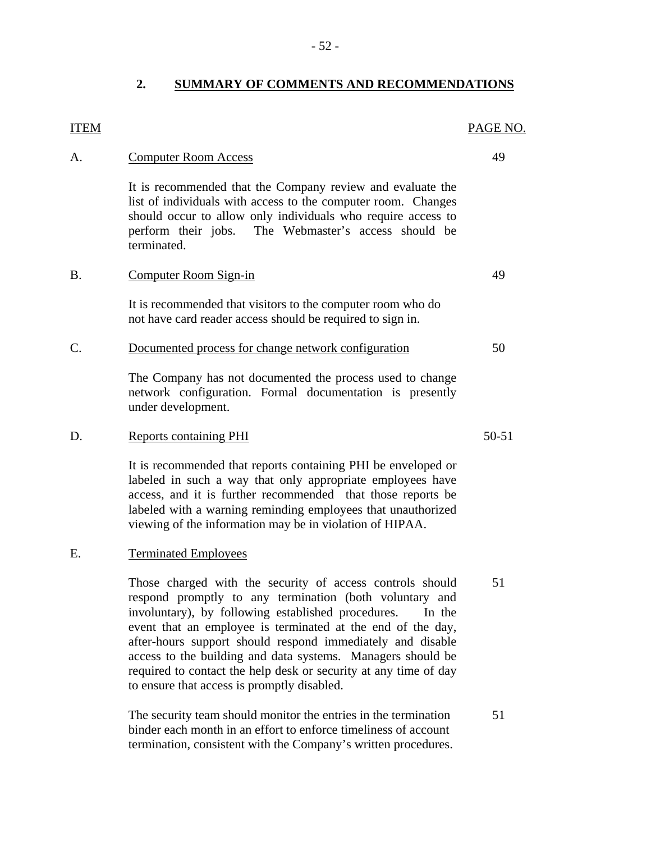#### **2. SUMMARY OF COMMENTS AND RECOMMENDATIONS**

# A. Computer Room Access 49 It is recommended that the Company review and evaluate the list of individuals with access to the computer room. Changes should occur to allow only individuals who require access to perform their jobs. The Webmaster's access should be terminated. B. Computer Room Sign-in 49 It is recommended that visitors to the computer room who do not have card reader access should be required to sign in. C. Documented process for change network configuration 50 The Company has not documented the process used to change network configuration. Formal documentation is presently under development. D. Reports containing PHI 50-51

It is recommended that reports containing PHI be enveloped or labeled in such a way that only appropriate employees have access, and it is further recommended that those reports be labeled with a warning reminding employees that unauthorized viewing of the information may be in violation of HIPAA.

#### E. Terminated Employees

**ITEM** 

Those charged with the security of access controls should 51 respond promptly to any termination (both voluntary and involuntary), by following established procedures. In the event that an employee is terminated at the end of the day, after-hours support should respond immediately and disable access to the building and data systems. Managers should be required to contact the help desk or security at any time of day to ensure that access is promptly disabled.

The security team should monitor the entries in the termination 51 binder each month in an effort to enforce timeliness of account termination, consistent with the Company's written procedures.

- 52 -